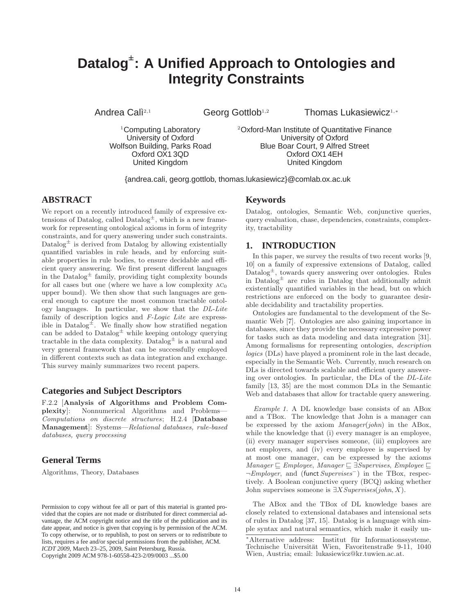# **Datalog**<sup>±</sup> **: A Unified Approach to Ontologies and Integrity Constraints**

Andrea Calì<sup>2,1</sup>

Georg Gottlob<sup>1,2</sup> Thomas Lukasiewicz<sup>1,∗</sup>

<sup>1</sup>Computing Laboratory University of Oxford Wolfson Building, Parks Road Oxford OX1 3QD United Kingdom

<sup>2</sup>Oxford-Man Institute of Quantitative Finance University of Oxford Blue Boar Court, 9 Alfred Street Oxford OX1 4EH United Kingdom

{andrea.cali, georg.gottlob, thomas.lukasiewicz}@comlab.ox.ac.uk

# **ABSTRACT**

We report on a recently introduced family of expressive extensions of Datalog, called  $\text{Database}^{\pm}$ , which is a new framework for representing ontological axioms in form of integrity constraints, and for query answering under such constraints. Datalog $\pm$  is derived from Datalog by allowing existentially quantified variables in rule heads, and by enforcing suitable properties in rule bodies, to ensure decidable and efficient query answering. We first present different languages in the Datalog $\pm$  family, providing tight complexity bounds for all cases but one (where we have a low complexity  $AC<sub>0</sub>$ upper bound). We then show that such languages are general enough to capture the most common tractable ontology languages. In particular, we show that the DL-Lite family of description logics and F-Logic Lite are expressible in Datalog<sup> $\pm$ </sup>. We finally show how stratified negation can be added to  $\text{Database}^{\pm}$  while keeping ontology querying tractable in the data complexity. Datalog  $\pm$  is a natural and very general framework that can be successfully employed in different contexts such as data integration and exchange. This survey mainly summarizes two recent papers.

### **Categories and Subject Descriptors**

F.2.2 [Analysis of Algorithms and Problem Complexity]: Nonnumerical Algorithms and Problems— Computations on discrete structures; H.2.4 [Database Management]: Systems—Relational databases, rule-based databases, query processing

# **General Terms**

Algorithms, Theory, Databases

Copyright 2009 ACM 978-1-60558-423-2/09/0003 ...\$5.00

# **Keywords**

Datalog, ontologies, Semantic Web, conjunctive queries, query evaluation, chase, dependencies, constraints, complexity, tractability

# **1. INTRODUCTION**

In this paper, we survey the results of two recent works [9, 10] on a family of expressive extensions of Datalog, called  $Datalog<sup>±</sup>$ , towards query answering over ontologies. Rules in Datalog $\pm$  are rules in Datalog that additionally admit existentially quantified variables in the head, but on which restrictions are enforced on the body to guarantee desirable decidability and tractability properties.

Ontologies are fundamental to the development of the Semantic Web [7]. Ontologies are also gaining importance in databases, since they provide the necessary expressive power for tasks such as data modeling and data integration [31]. Among formalisms for representing ontologies, description logics (DLs) have played a prominent role in the last decade, especially in the Semantic Web. Currently, much research on DLs is directed towards scalable and efficient query answering over ontologies. In particular, the DLs of the DL-Lite family [13, 35] are the most common DLs in the Semantic Web and databases that allow for tractable query answering.

Example 1. A DL knowledge base consists of an ABox and a TBox. The knowledge that John is a manager can be expressed by the axiom Manager(john) in the ABox, while the knowledge that (i) every manager is an employee, (ii) every manager supervises someone, (iii) employees are not employers, and (iv) every employee is supervised by at most one manager, can be expressed by the axioms Manager ⊑ Employee, Manager ⊑ ∃Supervises, Employee ⊑ ¬Employer, and (funct Supervises<sup>−</sup>) in the TBox, respectively. A Boolean conjunctive query (BCQ) asking whether John supervises someone is  $\exists X\,Supervises(john, X)$ .

The ABox and the TBox of DL knowledge bases are closely related to extensional databases and intensional sets of rules in Datalog [37, 15]. Datalog is a language with simple syntax and natural semantics, which make it easily un-

Permission to copy without fee all or part of this material is granted provided that the copies are not made or distributed for direct commercial advantage, the ACM copyright notice and the title of the publication and its date appear, and notice is given that copying is by permission of the ACM. To copy otherwise, or to republish, to post on servers or to redistribute to lists, requires a fee and/or special permissions from the publisher, ACM. *ICDT 2009*, March 23–25, 2009, Saint Petersburg, Russia.

Alternative address: Institut für Informationssysteme, Technische Universität Wien, Favoritenstraße 9-11, 1040 Wien, Austria; email: lukasiewicz@kr.tuwien.ac.at.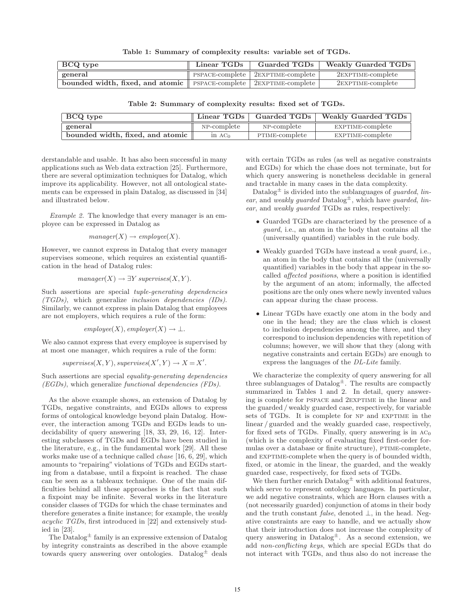Table 1: Summary of complexity results: variable set of TGDs.

| BCQ type                                                                                               | Linear TGDs | Guarded TGDs                                              | Weakly Guarded TGDs  |
|--------------------------------------------------------------------------------------------------------|-------------|-----------------------------------------------------------|----------------------|
| general                                                                                                |             | $\parallel$ PSPACE-complete $\parallel$ 2EXPTIME-complete | 2EXPTIME-complete    |
| bounded width, fixed, and atomic $\parallel$ PSPACE-complete $\parallel$ 2EXPTIME-complete $\parallel$ |             |                                                           | $2$ EXPTIME-complete |

| <b>BCQ</b> type                  | $\parallel$ Linear TGDs $\parallel$ | Guarded TGDs   | Weakly Guarded TGDs |
|----------------------------------|-------------------------------------|----------------|---------------------|
| general                          | NP-complete                         | NP-complete    | EXPTIME-complete    |
| bounded width, fixed, and atomic | in AC <sub>0</sub>                  | PTIME-complete | EXPTIME-complete    |

Table 2: Summary of complexity results: fixed set of TGDs.

derstandable and usable. It has also been successful in many applications such as Web data extraction [25]. Furthermore, there are several optimization techniques for Datalog, which improve its applicability. However, not all ontological statements can be expressed in plain Datalog, as discussed in [34] and illustrated below.

Example 2. The knowledge that every manager is an employee can be expressed in Datalog as

$$
manager(X) \rightarrow employee(X).
$$

However, we cannot express in Datalog that every manager supervises someone, which requires an existential quantification in the head of Datalog rules:

$$
manager(X) \rightarrow \exists Y \, supervises(X, Y).
$$

Such assertions are special tuple-generating dependencies (TGDs), which generalize inclusion dependencies (IDs). Similarly, we cannot express in plain Datalog that employees are not employers, which requires a rule of the form:

$$
employee(X), employer(X) \rightarrow \bot
$$

We also cannot express that every employee is supervised by at most one manager, which requires a rule of the form:

 $supervises(X, Y), supervises(X', Y) \rightarrow X = X'.$ 

Such assertions are special equality-generating dependencies (EGDs), which generalize functional dependencies (FDs).

As the above example shows, an extension of Datalog by TGDs, negative constraints, and EGDs allows to express forms of ontological knowledge beyond plain Datalog. However, the interaction among TGDs and EGDs leads to undecidability of query answering [18, 33, 29, 16, 12]. Interesting subclasses of TGDs and EGDs have been studied in the literature, e.g., in the fundamental work [29]. All these works make use of a technique called chase [16, 6, 29], which amounts to "repairing" violations of TGDs and EGDs starting from a database, until a fixpoint is reached. The chase can be seen as a tableaux technique. One of the main difficulties behind all these approaches is the fact that such a fixpoint may be infinite. Several works in the literature consider classes of TGDs for which the chase terminates and therefore generates a finite instance; for example, the weakly acyclic TGDs, first introduced in [22] and extensively studied in [23].

The  $\text{Database}^{\pm}$  family is an expressive extension of  $\text{Database}$ by integrity constraints as described in the above example towards query answering over ontologies. Datalog<sup>±</sup> deals

with certain TGDs as rules (as well as negative constraints and EGDs) for which the chase does not terminate, but for which query answering is nonetheless decidable in general and tractable in many cases in the data complexity.

Datalog<sup> $\pm$ </sup> is divided into the sublanguages of *guarded*, *lin*ear, and weakly guarded  $\text{Database}^{\pm}$ , which have guarded, linear, and weakly guarded TGDs as rules, respectively:

- Guarded TGDs are characterized by the presence of a guard, i.e., an atom in the body that contains all the (universally quantified) variables in the rule body.
- Weakly guarded TGDs have instead a weak guard, i.e., an atom in the body that contains all the (universally quantified) variables in the body that appear in the socalled affected positions, where a position is identified by the argument of an atom; informally, the affected positions are the only ones where newly invented values can appear during the chase process.
- Linear TGDs have exactly one atom in the body and one in the head; they are the class which is closest to inclusion dependencies among the three, and they correspond to inclusion dependencies with repetition of columns; however, we will show that they (along with negative constraints and certain EGDs) are enough to express the languages of the DL-Lite family.

We characterize the complexity of query answering for all three sublanguages of  $\text{Database}^{\pm}$ . The results are compactly summarized in Tables 1 and 2. In detail, query answering is complete for pspace and 2exptime in the linear and the guarded / weakly guarded case, respectively, for variable sets of TGDs. It is complete for NP and EXPTIME in the linear / guarded and the weakly guarded case, respectively, for fixed sets of TGDs. Finally, query answering is in  $AC<sub>0</sub>$ (which is the complexity of evaluating fixed first-order formulas over a database or finite structure), PTIME-complete, and EXPTIME-complete when the query is of bounded width, fixed, or atomic in the linear, the guarded, and the weakly guarded case, respectively, for fixed sets of TGDs.

We then further enrich  $\text{Database}^{\pm}$  with additional features, which serve to represent ontology languages. In particular, we add negative constraints, which are Horn clauses with a (not necessarily guarded) conjunction of atoms in their body and the truth constant *false*, denoted  $\bot$ , in the head. Negative constraints are easy to handle, and we actually show that their introduction does not increase the complexity of query answering in  $Datalog^{\pm}$ . As a second extension, we add non-conflicting keys, which are special EGDs that do not interact with TGDs, and thus also do not increase the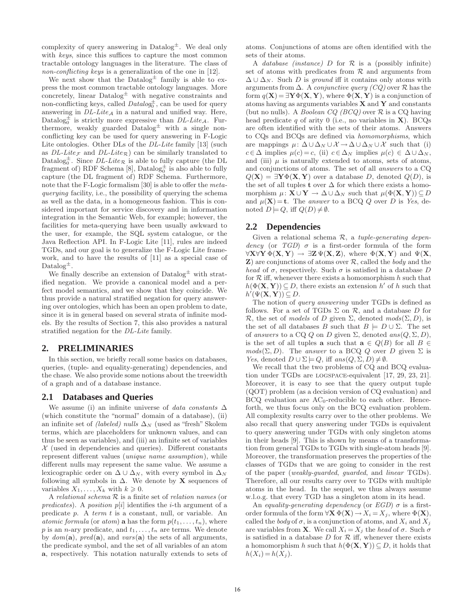complexity of query answering in  $\text{Database}^{\pm}$ . We deal only with keys, since this suffices to capture the most common tractable ontology languages in the literature. The class of non-conflicting keys is a generalization of the one in [12].

We next show that the  $Datalog^{\pm}$  family is able to express the most common tractable ontology languages. More concretely, linear  $Datalog^{\pm}$  with negative constraints and non-conflicting keys, called  $Database$ , can be used for query answering in  $DL\text{-}Lite_A$  in a natural and unified way. Here, Datalog<sub>0</sub><sup> $\pm$ </sup> is strictly more expressive than *DL-Lite<sub>A</sub>*. Furthermore, weakly guarded  $Datalog^{\pm}$  with a single nonconflicting key can be used for query answering in F-Logic Lite ontologies. Other DLs of the *DL-Lite* family [13] (such as  $DL\text{-}Lite_{\mathcal{F}}$  and  $DL\text{-}Lite_{\mathcal{R}}$  can be similarly translated to Datalog<sup> $\pm$ </sup>. Since *DL-Lite*<sub>R</sub> is able to fully capture (the DL fragment of) RDF Schema [8], Datalog  $\pm$  is also able to fully capture (the DL fragment of) RDF Schema. Furthermore, note that the F-Logic formalism [30] is able to offer the metaquerying facility, i.e., the possibility of querying the schema as well as the data, in a homogeneous fashion. This is considered important for service discovery and in information integration in the Semantic Web, for example; however, the facilities for meta-querying have been usually awkward to the user, for example, the SQL system catalogue, or the Java Reflection API. In F-Logic Lite [11], rules are indeed TGDs, and our goal is to generalize the F-Logic Lite framework, and to have the results of [11] as a special case of Datalog<sup> $\pm$ </sup>.

We finally describe an extension of  $\text{Database}^{\pm}$  with stratified negation. We provide a canonical model and a perfect model semantics, and we show that they coincide. We thus provide a natural stratified negation for query answering over ontologies, which has been an open problem to date, since it is in general based on several strata of infinite models. By the results of Section 7, this also provides a natural stratified negation for the DL-Lite family.

### **2. PRELIMINARIES**

In this section, we briefly recall some basics on databases, queries, (tuple- and equality-generating) dependencies, and the chase. We also provide some notions about the treewidth of a graph and of a database instance.

### **2.1 Databases and Queries**

We assume (i) an infinite universe of data constants  $\Delta$ (which constitute the "normal" domain of a database), (ii) an infinite set of (labeled) nulls  $\Delta_N$  (used as "fresh" Skolem terms, which are placeholders for unknown values, and can thus be seen as variables), and (iii) an infinite set of variables  $X$  (used in dependencies and queries). Different constants represent different values (unique name assumption), while different nulls may represent the same value. We assume a lexicographic order on  $\Delta \cup \Delta_N$ , with every symbol in  $\Delta_N$ following all symbols in  $\Delta$ . We denote by **X** sequences of variables  $X_1, \ldots, X_k$  with  $k \geqslant 0$ .

A relational schema R is a finite set of relation names (or predicates). A position  $p[i]$  identifies the *i*-th argument of a predicate p. A term t is a constant, null, or variable. An atomic formula (or atom) **a** has the form  $p(t_1, \ldots, t_n)$ , where p is an n-ary predicate, and  $t_1, \ldots, t_n$  are terms. We denote by  $dom(\mathbf{a})$ ,  $pred(\mathbf{a})$ , and  $vars(\mathbf{a})$  the sets of all arguments, the predicate symbol, and the set of all variables of an atom a, respectively. This notation naturally extends to sets of atoms. Conjunctions of atoms are often identified with the sets of their atoms.

A database *(instance)* D for  $\mathcal R$  is a (possibly infinite) set of atoms with predicates from  $R$  and arguments from  $\Delta \cup \Delta_N$ . Such D is ground iff it contains only atoms with arguments from  $\Delta$ . A *conjunctive query* (CQ) over R has the form  $q(X) = \exists Y \Phi(X, Y)$ , where  $\Phi(X, Y)$  is a conjunction of atoms having as arguments variables  $X$  and  $Y$  and constants (but no nulls). A *Boolean CQ (BCQ)* over  $\mathcal{R}$  is a CQ having head predicate q of arity 0 (i.e., no variables in  $X$ ). BCQs are often identified with the sets of their atoms. Answers to CQs and BCQs are defined via homomorphisms, which are mappings  $\mu: \Delta \cup \Delta_N \cup \mathcal{X} \to \Delta \cup \Delta_N \cup \mathcal{X}$  such that (i)  $c \in \Delta$  implies  $\mu(c) = c$ , (ii)  $c \in \Delta_N$  implies  $\mu(c) \in \Delta \cup \Delta_N$ , and (iii)  $\mu$  is naturally extended to atoms, sets of atoms, and conjunctions of atoms. The set of all answers to a CQ  $Q(X) = \exists Y \Phi(X, Y)$  over a database D, denoted  $Q(D)$ , is the set of all tuples t over  $\Delta$  for which there exists a homomorphism  $\mu: \mathbf{X} \cup \mathbf{Y} \to \Delta \cup \Delta_N$  such that  $\mu(\Phi(\mathbf{X}, \mathbf{Y})) \subseteq D$ and  $\mu(\mathbf{X}) = \mathbf{t}$ . The answer to a BCQ Q over D is Yes, denoted  $D \models Q$ , iff  $Q(D) \neq \emptyset$ .

### **2.2 Dependencies**

Given a relational schema  $\mathcal{R}$ , a *tuple-generating depen*dency (or  $TGD$ )  $\sigma$  is a first-order formula of the form  $\forall X \forall Y \Phi(X, Y) \rightarrow \exists Z \Psi(X, Z)$ , where  $\Phi(X, Y)$  and  $\Psi(X, Y)$  $\mathbf{Z}$ ) are conjunctions of atoms over  $\mathcal{R}$ , called the body and the head of  $\sigma$ , respectively. Such  $\sigma$  is satisfied in a database D for  $R$  iff, whenever there exists a homomorphism  $h$  such that  $h(\Phi(\mathbf{X}, \mathbf{Y})) \subseteq D$ , there exists an extension h' of h such that  $h'(\Psi(\mathbf{X}, \mathbf{Y})) \subseteq D.$ 

The notion of query answering under TGDs is defined as follows. For a set of TGDs  $\Sigma$  on  $\mathcal{R}$ , and a database D for R, the set of models of D given  $\Sigma$ , denoted  $\textit{mods}(\Sigma, D)$ , is the set of all databases B such that  $B \models D \cup \Sigma$ . The set of answers to a CQ Q on D given  $\Sigma$ , denoted ans $(Q, \Sigma, D)$ , is the set of all tuples **a** such that  $a \in Q(B)$  for all  $B \in$  $mods(\Sigma, D)$ . The answer to a BCQ Q over D given  $\Sigma$  is *Yes*, denoted  $D \cup \Sigma \models Q$ , iff  $ans(Q, \Sigma, D) \neq \emptyset$ .

We recall that the two problems of CQ and BCQ evaluation under TGDs are logspace-equivalent [17, 29, 23, 21]. Moreover, it is easy to see that the query output tuple (QOT) problem (as a decision version of CQ evaluation) and  $BCQ$  evaluation are  $AC_0$ -reducible to each other. Henceforth, we thus focus only on the BCQ evaluation problem. All complexity results carry over to the other problems. We also recall that query answering under TGDs is equivalent to query answering under TGDs with only singleton atoms in their heads [9]. This is shown by means of a transformation from general TGDs to TGDs with single-atom heads [9]. Moreover, the transformation preserves the properties of the classes of TGDs that we are going to consider in the rest of the paper (weakly-guarded, guarded, and linear TGDs). Therefore, all our results carry over to TGDs with multiple atoms in the head. In the sequel, we thus always assume w.l.o.g. that every TGD has a singleton atom in its head.

An equality-generating dependency (or  $EGD$ )  $\sigma$  is a firstorder formula of the form  $\forall \mathbf{X} \ \Phi(\mathbf{X}) \to X_i = X_i$ , where  $\Phi(\mathbf{X})$ , called the body of  $\sigma$ , is a conjunction of atoms, and  $X_i$  and  $X_j$ are variables from **X**. We call  $X_i = X_j$  the head of  $\sigma$ . Such  $\sigma$ is satisfied in a database  $D$  for  $R$  iff, whenever there exists a homomorphism h such that  $h(\Phi(\mathbf{X}, \mathbf{Y})) \subseteq D$ , it holds that  $h(X_i) = h(X_i)$ .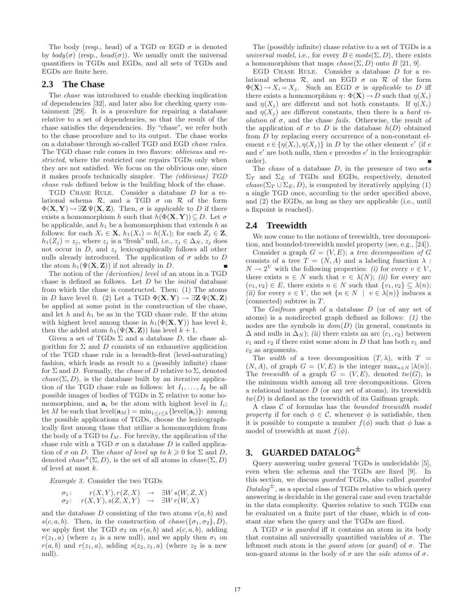The body (resp., head) of a TGD or EGD  $\sigma$  is denoted by  $body(\sigma)$  (resp.,  $head(\sigma)$ ). We usually omit the universal quantifiers in TGDs and EGDs, and all sets of TGDs and EGDs are finite here.

# **2.3 The Chase**

The chase was introduced to enable checking implication of dependencies [32], and later also for checking query containment [29]. It is a procedure for repairing a database relative to a set of dependencies, so that the result of the chase satisfies the dependencies. By "chase", we refer both to the chase procedure and to its output. The chase works on a database through so-called TGD and EGD chase rules. The TGD chase rule comes in two flavors: oblivious and restricted, where the restricted one repairs TGDs only when they are not satisfied. We focus on the oblivious one, since it makes proofs technically simpler. The (oblivious) TGD chase rule defined below is the building block of the chase.

TGD CHASE RULE. Consider a database  $D$  for a relational schema  $\mathcal{R}$ , and a TGD  $\sigma$  on  $\mathcal{R}$  of the form  $\Phi(\mathbf{X}, \mathbf{Y}) \rightarrow \exists \mathbf{Z} \Psi(\mathbf{X}, \mathbf{Z})$ . Then,  $\sigma$  is applicable to D if there exists a homomorphism h such that  $h(\Phi(\mathbf{X}, \mathbf{Y})) \subseteq D$ . Let  $\sigma$ be applicable, and  $h_1$  be a homomorphism that extends h as follows: for each  $X_i \in \mathbf{X}$ ,  $h_1(X_i) = h(X_i)$ ; for each  $Z_i \in \mathbf{Z}$ ,  $h_1(Z_i) = z_i$ , where  $z_i$  is a "fresh" null, i.e.,  $z_i \in \Delta_N$ ,  $z_i$  does not occur in  $D$ , and  $z_i$  lexicographically follows all other nulls already introduced. The application of  $\sigma$  adds to D the atom  $h_1(\Psi(\mathbf{X}, \mathbf{Z}))$  if not already in D.

The notion of the (derivation) level of an atom in a TGD chase is defined as follows. Let  $D$  be the *initial* database from which the chase is constructed. Then: (1) The atoms in D have level 0. (2) Let a TGD  $\Phi(\mathbf{X}, \mathbf{Y}) \to \exists \mathbf{Z} \Psi(\mathbf{X}, \mathbf{Z})$ be applied at some point in the construction of the chase, and let  $h$  and  $h_1$  be as in the TGD chase rule. If the atom with highest level among those in  $h_1(\Phi(\mathbf{X}, \mathbf{Y}))$  has level k, then the added atom  $h_1(\Psi(\mathbf{X}, \mathbf{Z}))$  has level  $k + 1$ .

Given a set of TGDs  $\Sigma$  and a database D, the chase algorithm for  $\Sigma$  and  $D$  consists of an exhaustive application of the TGD chase rule in a breadth-first (level-saturating) fashion, which leads as result to a (possibly infinite) chase for  $\Sigma$  and D. Formally, the *chase* of D relative to  $\Sigma$ , denoted  $chase(\Sigma, D)$ , is the database built by an iterative application of the TGD chase rule as follows: let  $I_1, \ldots, I_k$  be all possible images of bodies of  $TGDs$  in  $\Sigma$  relative to some homomorphism, and  $a_i$  be the atom with highest level in  $I_i$ ; let M be such that level( $\mathbf{a}_M$ ) = min<sub>1≤i≤k</sub>{level( $\mathbf{a}_i$ )}: among the possible applications of TGDs, choose the lexicographically first among those that utilize a homomorphism from the body of a TGD to  $I_M$ . For brevity, the application of the chase rule with a TGD  $\sigma$  on a database D is called application of  $\sigma$  on D. The chase of level up to  $k \geqslant 0$  for  $\Sigma$  and D, denoted  $chase^k(\Sigma, D)$ , is the set of all atoms in  $chase(\Sigma, D)$ of level at most k.

Example 3. Consider the two TGDs

$$
\sigma_1: \qquad r(X,Y), r(Z,X) \rightarrow \exists W s(W,Z,X) \n\sigma_2: \quad r(X,Y), s(Z,X,Y) \rightarrow \exists W r(W,X)
$$

and the database D consisting of the two atoms  $r(a, b)$  and  $s(c, a, b)$ . Then, in the construction of  $chase({\lbrace \sigma_1, \sigma_2 \rbrace}, D)$ , we apply first the TGD  $\sigma_2$  on  $r(a, b)$  and  $s(c, a, b)$ , adding  $r(z_1, a)$  (where  $z_1$  is a new null), and we apply then  $\sigma_1$  on  $r(a, b)$  and  $r(z_1, a)$ , adding  $s(z_2, z_1, a)$  (where  $z_2$  is a new null).

The (possibly infinite) chase relative to a set of TGDs is a universal model, i.e., for every  $B \in \text{mods}(\Sigma, D)$ , there exists a homomorphism that maps  $chase(\Sigma, D)$  onto B [21, 9].

EGD CHASE RULE. Consider a database D for a relational schema  $\mathcal{R}$ , and an EGD  $\sigma$  on  $\mathcal{R}$  of the form  $\Phi(\mathbf{X}) \to X_i = X_j$ . Such an EGD  $\sigma$  is applicable to D iff there exists a homomorphism  $\eta: \Phi(\mathbf{X}) \to D$  such that  $\eta(X_i)$ and  $\eta(X_i)$  are different and not both constants. If  $\eta(X_i)$ and  $\eta(X_i)$  are different constants, then there is a hard violation of  $\sigma$ , and the chase fails. Otherwise, the result of the application of  $\sigma$  to D is the database  $h(D)$  obtained from D by replacing every occurrence of a non-constant element  $e \in {\eta(X_i), \eta(X_j)}$  in D by the other element  $e'$  (if e and e ′ are both nulls, then e precedes e ′ in the lexicographic order).

The *chase* of a database  $D$ , in the presence of two sets  $\Sigma_T$  and  $\Sigma_E$  of TGDs and EGDs, respectively, denoted  $chase(\Sigma_T \cup \Sigma_E, D)$ , is computed by iteratively applying (1) a single TGD once, according to the order specified above, and (2) the EGDs, as long as they are applicable (i.e., until a fixpoint is reached).

### **2.4 Treewidth**

We now come to the notions of treewidth, tree decomposition, and bounded-treewidth model property (see, e.g., [24]).

Consider a graph  $G = (V, E)$ ; a tree decomposition of G consists of a tree  $T = (N, A)$  and a labeling function  $\lambda$ :  $N \to 2^V$  with the following properties: (i) for every  $v \in V$ , there exists  $n \in N$  such that  $v \in \lambda(N)$ ; (ii) for every arc  $(v_1, v_2) \in E$ , there exists  $n \in N$  such that  $\{v_1, v_2\} \subseteq \lambda(n);$ (ii) for every  $v \in V$ , the set  $\{n \in N \mid v \in \lambda(n)\}\)$  induces a (connected) subtree in T.

The Gaifman graph of a database D (or of any set of atoms) is a nondirected graph defined as follows: (1) the nodes are the symbols in  $dom(D)$  (in general, constants in  $\Delta$  and nulls in  $\Delta_N$ ); (ii) there exists an arc (c<sub>1</sub>, c<sub>2</sub>) between  $c_1$  and  $c_2$  if there exist some atom in D that has both  $c_1$  and  $c_2$  as arguments.

The *width* of a tree decomposition  $(T, \lambda)$ , with  $T =$  $(N, A)$ , of graph  $G = (V, E)$  is the integer  $\max_{n \in N} |\lambda(n)|$ . The treewidth of a graph  $G = (V, E)$ , denoted  $tw(G)$ , is the minimum width among all tree decompositions. Given a relational instance  $D$  (or any set of atoms), its treewidth  $tw(D)$  is defined as the treewidth of its Gaifman graph.

A class  $C$  of formulas has the *bounded treewidth model* property if for each  $\phi \in \mathcal{C}$ , whenever  $\phi$  is satisfiable, then it is possible to compute a number  $f(\phi)$  such that  $\phi$  has a model of treewidth at most  $f(\phi)$ .

# **3. GUARDED DATALOG**<sup>±</sup>

Query answering under general TGDs is undecidable [5], even when the schema and the TGDs are fixed [9]. In this section, we discuss guarded TGDs, also called guarded  $Database^{\pm}$ , as a special class of TGDs relative to which query answering is decidable in the general case and even tractable in the data complexity. Queries relative to such TGDs can be evaluated on a finite part of the chase, which is of constant size when the query and the TGDs are fixed.

A TGD  $\sigma$  is *guarded* iff it contains an atom in its body that contains all universally quantified variables of  $\sigma$ . The leftmost such atom is the *guard atom* (or *guard*) of  $\sigma$ . The non-guard atoms in the body of  $\sigma$  are the side atoms of  $\sigma$ .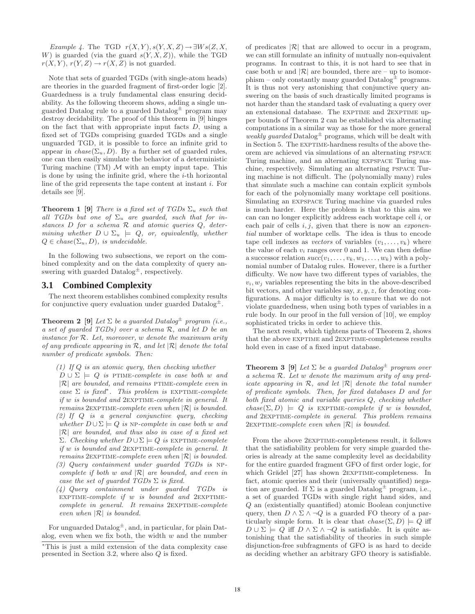Example 4. The TGD  $r(X, Y), s(Y, X, Z) \rightarrow \exists W s(Z, X, Z)$ W) is guarded (via the guard  $s(Y, X, Z)$ ), while the TGD  $r(X, Y), r(Y, Z) \rightarrow r(X, Z)$  is not guarded.

Note that sets of guarded TGDs (with single-atom heads) are theories in the guarded fragment of first-order logic [2]. Guardedness is a truly fundamental class ensuring decidability. As the following theorem shows, adding a single unguarded Datalog rule to a guarded  $\text{Database}^{\pm}$  program may destroy decidability. The proof of this theorem in [9] hinges on the fact that with appropriate input facts  $D$ , using a fixed set of TGDs comprising guarded TGDs and a single unguarded TGD, it is possible to force an infinite grid to appear in  $chase(\Sigma_u, D)$ . By a further set of guarded rules, one can then easily simulate the behavior of a deterministic Turing machine  $(TM)$  M with an empty input tape. This is done by using the infinite grid, where the  $i$ -th horizontal line of the grid represents the tape content at instant i. For details see [9].

**Theorem 1 [9]** There is a fixed set of TGDs  $\Sigma_u$  such that all TGDs but one of  $\Sigma_u$  are guarded, such that for instances  $D$  for a schema  $R$  and atomic queries  $Q$ , determining whether  $D \cup \Sigma_u \models Q$ , or, equivalently, whether  $Q \in \text{chase}(\Sigma_u, D)$ , is undecidable.

In the following two subsections, we report on the combined complexity and on the data complexity of query answering with guarded  $\text{Database}^{\pm}$ , respectively.

# **3.1 Combined Complexity**

The next theorem establishes combined complexity results for conjunctive query evaluation under guarded  $\text{Database}^{\pm}$ .

**Theorem 2** [9] Let  $\Sigma$  be a quarded Datalog<sup> $\pm$ </sup> program (i.e., a set of guarded TGDs) over a schema R, and let D be an instance for R. Let, moreover, w denote the maximum arity of any predicate appearing in  $\mathcal{R}$ , and let  $|\mathcal{R}|$  denote the total number of predicate symbols. Then:

- (1) If  $Q$  is an atomic query, then checking whether  $D \cup \Sigma$   $\models$  Q is PTIME-complete in case both w and  $|\mathcal{R}|$  are bounded, and remains PTIME-complete even in case  $\Sigma$  is fixed<sup>\*</sup>. This problem is EXPTIME-complete if w is bounded and 2exptime-complete in general. It remains  $2$ EXPTIME-complete even when  $|\mathcal{R}|$  is bounded. (2) If Q is a general conjunctive query, checking whether  $D \cup \Sigma \models Q$  is NP-complete in case both w and  $|R|$  are bounded, and thus also in case of a fixed set  $Σ.$  Checking whether  $D ∪ Σ |= Q$  is EXPTIME-complete if  $w$  is bounded and  $2$ EXPTIME-complete in general. It remains  $2$ EXPTIME-complete even when  $|\mathcal{R}|$  is bounded. (3) Query containment under guarded TGDs is np-
- complete if both w and  $|\mathcal{R}|$  are bounded, and even in case the set of quarded  $TGDs \Sigma$  is fixed.
- (4) Query containment under guarded TGDs is EXPTIME-complete if  $w$  is bounded and 2EXPTIME $complete\,$  in general. It remains  $2$ EXPTIME-complete even when  $|R|$  is bounded.

For unguarded  $\text{Database}^{\pm}$ , and, in particular, for plain Datalog, even when we fix both, the width  $w$  and the number of predicates  $|\mathcal{R}|$  that are allowed to occur in a program, we can still formulate an infinity of mutually non-equivalent programs. In contrast to this, it is not hard to see that in case both w and  $|\mathcal{R}|$  are bounded, there are – up to isomorphism – only constantly many guarded  $\text{Database}^{\pm}$  programs. It is thus not very astonishing that conjunctive query answering on the basis of such drastically limited programs is not harder than the standard task of evaluating a query over an extensional database. The EXPTIME and 2EXPTIME upper bounds of Theorem 2 can be established via alternating computations in a similar way as those for the more general weakly guarded  $\text{Database}^{\pm}$  programs, which will be dealt with in Section 5. The EXPTIME-hardness results of the above theorem are achieved via simulations of an alternating pspace Turing machine, and an alternating expspace Turing machine, respectively. Simulating an alternating pspace Turing machine is not difficult. The (polynomially many) rules that simulate such a machine can contain explicit symbols for each of the polynomially many worktape cell positions. Simulating an expspace Turing machine via guarded rules is much harder. Here the problem is that to this aim we can can no longer explicitly address each worktape cell  $i$ , or each pair of cells  $i, j$ , given that there is now an exponential number of worktape cells. The idea is thus to encode tape cell indexes as vectors of variables  $(v_1, \ldots, v_k)$  where the value of each  $v_i$  ranges over 0 and 1. We can then define a successor relation  $succ(v_1, \ldots, v_k, w_1, \ldots, w_k)$  with a polynomial number of Datalog rules. However, there is a further difficulty. We now have two different types of variables, the  $v_i, w_j$  variables representing the bits in the above-described bit vectors, and other variables say,  $x, y, z$ , for denoting configurations. A major difficulty is to ensure that we do not violate guardedness, when using both types of variables in a rule body. In our proof in the full version of [10], we employ sophisticated tricks in order to achieve this.

The next result, which tightens parts of Theorem 2, shows that the above EXPTIME and 2EXPTIME-completeness results hold even in case of a fixed input database.

**Theorem 3** [9] Let  $\Sigma$  be a guarded Datalog<sup> $\pm$ </sup> program over a schema R. Let w denote the maximum arity of any predicate appearing in  $\mathcal{R}$ , and let  $|\mathcal{R}|$  denote the total number of predicate symbols. Then, for fixed databases D and for both fixed atomic and variable queries Q, checking whether  $chase(\Sigma, D) \models Q$  is EXPTIME-complete if w is bounded, and 2EXPTIME-complete in general. This problem remains 2EXPTIME-complete even when  $|\mathcal{R}|$  is bounded.

From the above  $2$ EXPTIME-completeness result, it follows that the satisfiability problem for very simple guarded theories is already at the same complexity level as decidability for the entire guarded fragment GFO of first order logic, for which Grädel [27] has shown 2EXPTIME-completeness. In fact, atomic queries and their (universally quantified) negation are guarded. If  $\Sigma$  is a guarded Datalog<sup> $\pm$ </sup> program, i.e., a set of guarded TGDs with single right hand sides, and Q an (existentially quantified) atomic Boolean conjunctive query, then  $D \wedge \Sigma \wedge \neg Q$  is a guarded FO theory of a particularly simple form. It is clear that  $chase(\Sigma, D) \models Q$  iff  $D \cup \Sigma = Q$  iff  $D \wedge \Sigma \wedge \neg Q$  is satisfiable. It is quite astonishing that the satisfiability of theories in such simple disjunction-free subfragments of GFO is as hard to decide as deciding whether an arbitrary GFO theory is satisfiable.

<sup>∗</sup>This is just a mild extension of the data complexity case presented in Section 3.2, where also Q is fixed.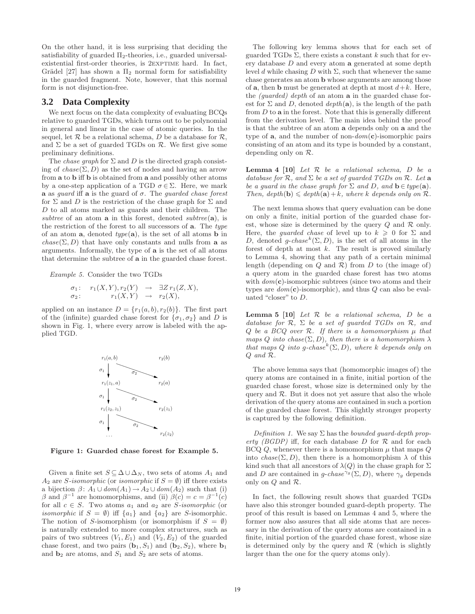On the other hand, it is less surprising that deciding the satisfiability of guarded  $\Pi_2$ -theories, i.e., guarded universalexistential first-order theories, is 2EXPTIME hard. In fact, Grädel [27] has shown a  $\Pi_2$  normal form for satisfiability in the guarded fragment. Note, however, that this normal form is not disjunction-free.

### **3.2 Data Complexity**

We next focus on the data complexity of evaluating BCQs relative to guarded TGDs, which turns out to be polynomial in general and linear in the case of atomic queries. In the sequel, let  $R$  be a relational schema, D be a database for  $R$ , and  $\Sigma$  be a set of guarded TGDs on  $\mathcal{R}$ . We first give some preliminary definitions.

The *chase graph* for  $\Sigma$  and  $D$  is the directed graph consisting of  $chase(\Sigma, D)$  as the set of nodes and having an arrow from a to b iff b is obtained from a and possibly other atoms by a one-step application of a TGD  $\sigma \in \Sigma$ . Here, we mark **a** as *quard* iff **a** is the guard of  $\sigma$ . The *quarded chase forest* for  $\Sigma$  and  $D$  is the restriction of the chase graph for  $\Sigma$  and D to all atoms marked as guards and their children. The subtree of an atom  $a$  in this forest, denoted subtree( $a$ ), is the restriction of the forest to all successors of  $a$ . The type of an atom  $\mathbf{a}$ , denoted type $(\mathbf{a})$ , is the set of all atoms **b** in  $chase(\Sigma, D)$  that have only constants and nulls from **a** as arguments. Informally, the type of a is the set of all atoms that determine the subtree of a in the guarded chase forest.

Example 5. Consider the two TGDs

$$
\sigma_1: \quad r_1(X,Y), r_2(Y) \quad \to \quad \exists Z \, r_1(Z,X),
$$
  

$$
\sigma_2: \quad r_1(X,Y) \quad \to \quad r_2(X),
$$

applied on an instance  $D = \{r_1(a, b), r_2(b)\}\.$  The first part of the (infinite) guarded chase forest for  $\{\sigma_1, \sigma_2\}$  and D is shown in Fig. 1, where every arrow is labeled with the applied TGD.



Figure 1: Guarded chase forest for Example 5.

Given a finite set  $S \subseteq \Delta \cup \Delta_N$ , two sets of atoms  $A_1$  and A<sub>2</sub> are S-isomorphic (or isomorphic if  $S = \emptyset$ ) iff there exists a bijection  $\beta$ :  $A_1 \cup dom(A_1) \rightarrow A_2 \cup dom(A_2)$  such that (i) β and  $\beta^{-1}$  are homomorphisms, and (ii)  $\beta(c) = c = \beta^{-1}(c)$ for all  $c \in S$ . Two atoms  $a_1$  and  $a_2$  are *S*-isomorphic (or *isomorphic* if  $S = \emptyset$  iff  $\{a_1\}$  and  $\{a_2\}$  are S-isomorphic. The notion of S-isomorphism (or isomorphism if  $S = \emptyset$ ) is naturally extended to more complex structures, such as pairs of two subtrees  $(V_1, E_1)$  and  $(V_2, E_2)$  of the guarded chase forest, and two pairs  $(b_1, S_1)$  and  $(b_2, S_2)$ , where  $b_1$ and  $\mathbf{b}_2$  are atoms, and  $S_1$  and  $S_2$  are sets of atoms.

The following key lemma shows that for each set of guarded TGDs  $\Sigma$ , there exists a constant k such that for every database D and every atom a generated at some depth level d while chasing D with  $\Sigma$ , such that whenever the same chase generates an atom b whose arguments are among those of **a**, then **b** must be generated at depth at most  $d+k$ . Here, the (guarded) depth of an atom a in the guarded chase forest for  $\Sigma$  and D, denoted depth(a), is the length of the path from  $D$  to  $a$  in the forest. Note that this is generally different from the derivation level. The main idea behind the proof is that the subtree of an atom a depends only on a and the type of **a**, and the number of non- $dom(c)$ -isomorphic pairs consisting of an atom and its type is bounded by a constant, depending only on R.

**Lemma 4 [10]** Let  $R$  be a relational schema,  $D$  be a database for R, and  $\Sigma$  be a set of quarded TGDs on R. Let a be a quard in the chase graph for  $\Sigma$  and  $D$ , and  $\mathbf{b} \in type(\mathbf{a})$ . Then,  $depth(b) \leq depth(a)+k$ , where k depends only on R.

The next lemma shows that query evaluation can be done on only a finite, initial portion of the guarded chase forest, whose size is determined by the query  $Q$  and  $R$  only. Here, the *guarded chase* of level up to  $k \geq 0$  for  $\Sigma$  and D, denoted g-chase<sup>k</sup>( $\Sigma$ , D), is the set of all atoms in the forest of depth at most  $k$ . The result is proved similarly to Lemma 4, showing that any path of a certain minimal length (depending on  $Q$  and  $R$ ) from  $D$  to (the image of) a query atom in the guarded chase forest has two atoms with  $dom(c)$ -isomorphic subtrees (since two atoms and their types are  $dom(c)$ -isomorphic), and thus  $Q$  can also be evaluated "closer" to D.

**Lemma 5 [10]** Let  $R$  be a relational schema,  $D$  be a database for  $\mathcal{R}, \Sigma$  be a set of guarded TGDs on  $\mathcal{R},$  and Q be a BCQ over  $\mathcal{R}$ . If there is a homomorphism  $\mu$  that maps Q into chase( $\Sigma$ , D), then there is a homomorphism  $\lambda$ that maps Q into g-chase<sup>k</sup> $(\Sigma, D)$ , where k depends only on Q and R.

The above lemma says that (homomorphic images of) the query atoms are contained in a finite, initial portion of the guarded chase forest, whose size is determined only by the query and  $R$ . But it does not yet assure that also the whole derivation of the query atoms are contained in such a portion of the guarded chase forest. This slightly stronger property is captured by the following definition.

Definition 1. We say  $\Sigma$  has the bounded guard-depth property (BGDP) iff, for each database D for  $\mathcal R$  and for each BCQ  $Q$ , whenever there is a homomorphism  $\mu$  that maps  $Q$ into chase( $\Sigma$ , D), then there is a homomorphism  $\lambda$  of this kind such that all ancestors of  $\lambda(Q)$  in the chase graph for  $\Sigma$ and D are contained in g-chase<sup> $\gamma_g$ </sup>( $\Sigma$ , D), where  $\gamma_g$  depends only on Q and R.

In fact, the following result shows that guarded TGDs have also this stronger bounded guard-depth property. The proof of this result is based on Lemmas 4 and 5, where the former now also assures that all side atoms that are necessary in the derivation of the query atoms are contained in a finite, initial portion of the guarded chase forest, whose size is determined only by the query and  $\mathcal R$  (which is slightly larger than the one for the query atoms only).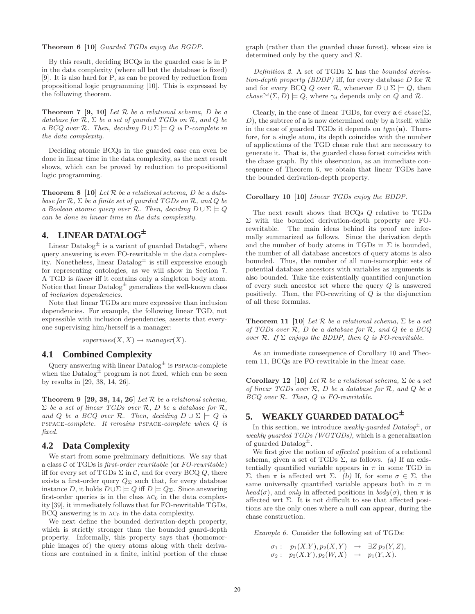Theorem 6 [10] Guarded TGDs enjoy the BGDP.

By this result, deciding BCQs in the guarded case is in P in the data complexity (where all but the database is fixed) [9]. It is also hard for P, as can be proved by reduction from propositional logic programming [10]. This is expressed by the following theorem.

**Theorem 7 [9, 10]** Let  $R$  be a relational schema,  $D$  be a database for  $\mathcal{R}, \Sigma$  be a set of guarded TGDs on  $\mathcal{R},$  and  $Q$  be a BCQ over R. Then, deciding  $D \cup \Sigma \models Q$  is P-complete in the data complexity.

Deciding atomic BCQs in the guarded case can even be done in linear time in the data complexity, as the next result shows, which can be proved by reduction to propositional logic programming.

**Theorem 8** [10] Let  $\mathcal{R}$  be a relational schema,  $D$  be a database for  $\mathcal{R}, \Sigma$  be a finite set of guarded TGDs on  $\mathcal{R},$  and  $Q$  be a Boolean atomic query over R. Then, deciding  $D \cup \Sigma \models Q$ can be done in linear time in the data complexity.

# **4. LINEAR DATALOG**<sup>±</sup>

Linear Datalog<sup> $\pm$ </sup> is a variant of guarded Datalog<sup> $\pm$ </sup>, where query answering is even FO-rewritable in the data complexity. Nonetheless, linear  $Datalog^{\pm}$  is still expressive enough for representing ontologies, as we will show in Section 7. A TGD is linear iff it contains only a singleton body atom. Notice that linear  $\text{Database}^{\pm}$  generalizes the well-known class of inclusion dependencies.

Note that linear TGDs are more expressive than inclusion dependencies. For example, the following linear TGD, not expressible with inclusion dependencies, asserts that everyone supervising him/herself is a manager:

 $superves(X, X) \rightarrow manager(X).$ 

### **4.1 Combined Complexity**

Query answering with linear  $\text{Database}^{\pm}$  is PSPACE-complete when the Datalog $\pm$  program is not fixed, which can be seen by results in [29, 38, 14, 26].

Theorem 9 [29, 38, 14, 26] Let  $R$  be a relational schema,  $\Sigma$  be a set of linear TGDs over  $\mathcal{R}$ , D be a database for  $\mathcal{R}$ , and Q be a BCQ over R. Then, deciding  $D \cup \Sigma \models Q$  is pspace-complete. It remains pspace-complete when Q is fixed.

### **4.2 Data Complexity**

We start from some preliminary definitions. We say that a class  $C$  of TGDs is *first-order rewritable* (or  $FO$ -rewritable) iff for every set of TGDs  $\Sigma$  in  $\mathcal{C}$ , and for every BCQ  $Q$ , there exists a first-order query  $Q_{\Sigma}$  such that, for every database instance D, it holds  $D \cup \Sigma \models Q$  iff  $D \models Q_{\Sigma}$ . Since answering first-order queries is in the class  $AC<sub>0</sub>$  in the data complexity [39], it immediately follows that for FO-rewritable TGDs,  $BCQ$  answering is in  $AC<sub>0</sub>$  in the data complexity.

We next define the bounded derivation-depth property, which is strictly stronger than the bounded guard-depth property. Informally, this property says that (homomorphic images of) the query atoms along with their derivations are contained in a finite, initial portion of the chase graph (rather than the guarded chase forest), whose size is determined only by the query and R.

Definition 2. A set of TGDs  $\Sigma$  has the bounded derivation-depth property (BDDP) iff, for every database  $D$  for  $\mathcal R$ and for every BCQ Q over R, whenever  $D \cup \Sigma \models Q$ , then  $chase^{\gamma_d}(\Sigma, D) \models Q$ , where  $\gamma_d$  depends only on Q and R.

Clearly, in the case of linear TGDs, for every  $\mathbf{a} \in \text{chase}(\Sigma)$ ,  $D$ ), the subtree of **a** is now determined only by **a** itself, while in the case of guarded TGDs it depends on  $type(a)$ . Therefore, for a single atom, its depth coincides with the number of applications of the TGD chase rule that are necessary to generate it. That is, the guarded chase forest coincides with the chase graph. By this observation, as an immediate consequence of Theorem 6, we obtain that linear TGDs have the bounded derivation-depth property.

#### Corollary 10 [10] Linear TGDs enjoy the BDDP.

The next result shows that BCQs Q relative to TGDs Σ with the bounded derivation-depth property are FOrewritable. The main ideas behind its proof are informally summarized as follows. Since the derivation depth and the number of body atoms in TGDs in  $\Sigma$  is bounded, the number of all database ancestors of query atoms is also bounded. Thus, the number of all non-isomorphic sets of potential database ancestors with variables as arguments is also bounded. Take the existentially quantified conjunction of every such ancestor set where the query  $Q$  is answered positively. Then, the FO-rewriting of  $Q$  is the disjunction of all these formulas.

**Theorem 11 [10]** Let  $\mathcal{R}$  be a relational schema,  $\Sigma$  be a set of TGDs over  $R$ ,  $D$  be a database for  $R$ , and  $Q$  be a BCQ over R. If  $\Sigma$  enjoys the BDDP, then Q is FO-rewritable.

As an immediate consequence of Corollary 10 and Theorem 11, BCQs are FO-rewritable in the linear case.

Corollary 12 [10] Let  $\mathcal R$  be a relational schema,  $\Sigma$  be a set of linear TGDs over  $R$ ,  $D$  be a database for  $R$ , and  $Q$  be a BCQ over R. Then, Q is FO-rewritable.

# **5. WEAKLY GUARDED DATALOG**<sup>±</sup>

In this section, we introduce *weakly-quarded Datalog*<sup> $\pm$ </sup>, or weakly guarded TGDs (WGTGDs), which is a generalization of guarded Datalog<sup>±</sup>.

We first give the notion of affected position of a relational schema, given a set of TGDs  $\Sigma$ , as follows. (a) If an existentially quantified variable appears in  $\pi$  in some TGD in Σ, then π is affected wrt Σ. (b) If, for some σ ∈ Σ, the same universally quantified variable appears both in  $\pi$  in  $head(\sigma)$ , and only in affected positions in  $body(\sigma)$ , then  $\pi$  is affected wrt  $\Sigma$ . It is not difficult to see that affected positions are the only ones where a null can appear, during the chase construction.

Example 6. Consider the following set of TGDs:

 $\sigma_1: p_1(X.Y), p_2(X,Y) \rightarrow \exists Z p_2(Y,Z),$  $\sigma_2: p_2(X.Y), p_2(W,X) \rightarrow p_1(Y,X).$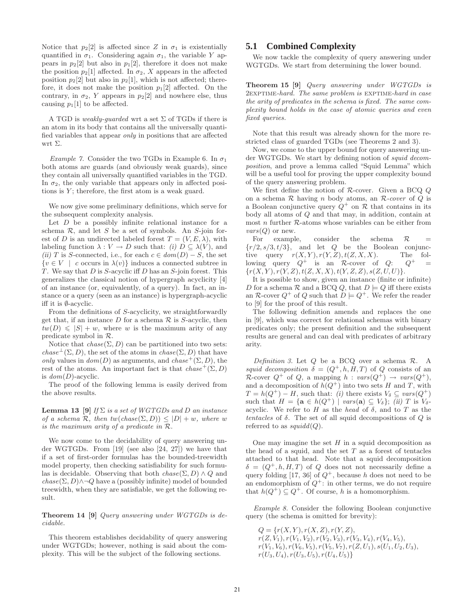Notice that  $p_2[2]$  is affected since Z in  $\sigma_1$  is existentially quantified in  $\sigma_1$ . Considering again  $\sigma_1$ , the variable Y appears in  $p_2[2]$  but also in  $p_1[2]$ , therefore it does not make the position  $p_2[1]$  affected. In  $\sigma_2$ , X appears in the affected position  $p_2[2]$  but also in  $p_2[1]$ , which is not affected; therefore, it does not make the position  $p_1[2]$  affected. On the contrary, in  $\sigma_2$ , Y appears in  $p_2[2]$  and nowhere else, thus causing  $p_1[1]$  to be affected.

A TGD is *weakly-guarded* wrt a set  $\Sigma$  of TGDs if there is an atom in its body that contains all the universally quantified variables that appear only in positions that are affected wrt Σ.

Example 7. Consider the two TGDs in Example 6. In  $\sigma_1$ both atoms are guards (and obviously weak guards), since they contain all universally quantified variables in the TGD. In  $\sigma_2$ , the only variable that appears only in affected positions is  $Y$ ; therefore, the first atom is a weak guard.

We now give some preliminary definitions, which serve for the subsequent complexity analysis.

Let  $D$  be a possibly infinite relational instance for a schema  $R$ , and let  $S$  be a set of symbols. An  $S$ -join forest of D is an undirected labeled forest  $T = (V, E, \lambda)$ , with labeling function  $\lambda: V \to D$  such that: (i)  $D \subseteq \lambda(V)$ , and (ii) T is S-connected, i.e., for each  $c \in dom(D) - S$ , the set  $\{v \in V \mid c \text{ occurs in } \lambda(v)\}\$  induces a connected subtree in T. We say that  $D$  is S-acyclic iff  $D$  has an S-join forest. This generalizes the classical notion of hypergraph acyclicity [4] of an instance (or, equivalently, of a query). In fact, an instance or a query (seen as an instance) is hypergraph-acyclic iff it is ∅-acyclic.

From the definitions of S-acyclicity, we straightforwardly get that, if an instance  $D$  for a schema  $R$  is S-acyclic, then  $tw(D) \leqslant |S| + w$ , where w is the maximum arity of any predicate symbol in R.

Notice that  $chase(\Sigma, D)$  can be partitioned into two sets:  $chase^{\perp}(\Sigma, D)$ , the set of the atoms in  $chase(\Sigma, D)$  that have only values in  $dom(D)$  as arguments, and  $chase^+(\Sigma, D)$ , the rest of the atoms. An important fact is that  $chase^+(\Sigma, D)$ is  $dom(D)$ -acyclic.

The proof of the following lemma is easily derived from the above results.

**Lemma 13** [9] If  $\Sigma$  is a set of WGTGDs and D an instance of a schema  $\mathcal{R}$ , then tw(chase( $\Sigma$ , D))  $\leq$  |D| + w, where w is the maximum arity of a predicate in R.

We now come to the decidability of query answering under WGTGDs. From [19] (see also [24, 27]) we have that if a set of first-order formulas has the bounded-treewidth model property, then checking satisfiability for such formulas is decidable. Observing that both  $chase(\Sigma, D) \wedge Q$  and  $chase(\Sigma, D) \land \neg Q$  have a (possibly infinite) model of bounded treewidth, when they are satisfiable, we get the following result.

Theorem 14 [9] Query answering under WGTGDs is decidable.

This theorem establishes decidability of query answering under WGTGDs; however, nothing is said about the complexity. This will be the subject of the following sections.

# **5.1 Combined Complexity**

We now tackle the complexity of query answering under WGTGDs. We start from determining the lower bound.

Theorem 15 [9] Query answering under WGTGDs is 2exptime-hard. The same problem is exptime-hard in case the arity of predicates in the schema is fixed. The same complexity bound holds in the case of atomic queries and even fixed queries.

Note that this result was already shown for the more restricted class of guarded TGDs (see Theorems 2 and 3).

Now, we come to the upper bound for query answering under WGTGDs. We start by defining notion of squid decomposition, and prove a lemma called "Squid Lemma" which will be a useful tool for proving the upper complexity bound of the query answering problem.

We first define the notion of  $R$ -cover. Given a BCQ  $Q$ on a schema  $R$  having n body atoms, an  $R$ -cover of  $Q$  is a Boolean conjunctive query  $Q^+$  on  $R$  that contains in its body all atoms of Q and that may, in addition, contain at most  $n$  further  $R$ -atoms whose variables can be either from  $vars(Q)$  or new.

For example, consider the schema  $\mathcal{R}$  =  $\{r/2, s/3, t/3\}$ , and let Q be the Boolean conjunctive query  $r(X, Y), r(Y, Z), t(Z, X, X)$ . The following query  $Q^+$  is an R-cover of  $Q$ : Q  $Q^+$  =  ${r(X, Y), r(Y, Z), t(Z, X, X), t(Y, Z, Z), s(Z, U, U)}.$ 

It is possible to show, given an instance (finite or infinite) D for a schema R and a BCQ Q, that  $D \models Q$  iff there exists an R-cover  $Q^+$  of Q such that  $D \models Q^+$ . We refer the reader to [9] for the proof of this result.

The following definition amends and replaces the one in [9], which was correct for relational schemas with binary predicates only; the present definition and the subsequent results are general and can deal with predicates of arbitrary arity.

Definition 3. Let  $Q$  be a BCQ over a schema  $R$ . A squid decomposition  $\delta = (Q^+, h, H, T)$  of Q consists of an R-cover  $Q^+$  of Q, a mapping  $h : vars(Q^+) \rightarrow vars(Q^+),$ and a decomposition of  $h(Q^+)$  into two sets H and T, with  $T = h(Q^+) - H$ , such that: (i) there exists  $V_{\delta} \subseteq vars(Q^+)$ such that  $H = {\mathbf{a} \in h(Q^+) \mid vars(\mathbf{a}) \subseteq V_\delta};$  (ii) T is  $V_\delta$ acyclic. We refer to H as the head of  $\delta$ , and to T as the tentacles of  $\delta$ . The set of all squid decompositions of  $Q$  is referred to as  $squidd(Q)$ .

One may imagine the set  $H$  in a squid decomposition as the head of a squid, and the set  $T$  as a forest of tentacles attached to that head. Note that a squid decomposition  $\delta = (Q^+, h, H, T)$  of Q does not not necessarily define a query folding [17, 36] of  $Q^+$ , because h does not need to be an endomorphism of  $Q^+$ : in other terms, we do not require that  $h(Q^+) \subseteq Q^+$ . Of course, h is a homomorphism.

Example 8. Consider the following Boolean conjunctive query (the schema is omitted for brevity):

 $Q = \{r(X, Y), r(X, Z), r(Y, Z),$  $r(Z, V_1), r(V_1, V_2), r(V_2, V_3), r(V_3, V_4), r(V_4, V_5),$  $r(V_1, V_6), r(V_6, V_5), r(V_5, V_7), r(Z, U_1), s(U_1, U_2, U_3),$  $r(U_3, U_4), r(U_3, U_5), r(U_4, U_5)$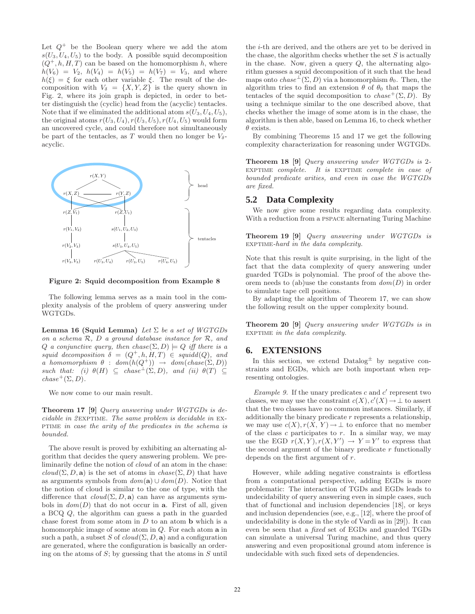Let  $Q^+$  be the Boolean query where we add the atom  $s(U_3, U_4, U_5)$  to the body. A possible squid decomposition  $(Q^+, h, H, T)$  can be based on the homomorphism h, where  $h(V_6) = V_2$ ,  $h(V_4) = h(V_5) = h(V_7) = V_3$ , and where  $h(\xi) = \xi$  for each other variable  $\xi$ . The result of the decomposition with  $V_{\delta} = \{X, Y, Z\}$  is the query shown in Fig. 2, where its join graph is depicted, in order to better distinguish the (cyclic) head from the (acyclic) tentacles. Note that if we eliminated the additional atom  $s(U_3, U_4, U_5)$ , the original atoms  $r(U_3, U_4)$ ,  $r(U_3, U_5)$ ,  $r(U_4, U_5)$  would form an uncovered cycle, and could therefore not simultaneously be part of the tentacles, as T would then no longer be  $V_{\delta}$ acyclic.



Figure 2: Squid decomposition from Example 8

The following lemma serves as a main tool in the complexity analysis of the problem of query answering under WGTGDs.

Lemma 16 (Squid Lemma) Let  $\Sigma$  be a set of WGTGDs on a schema  $R$ ,  $D$  a ground database instance for  $R$ , and Q a conjunctive query, then chase( $\Sigma, D$ )  $\models Q$  iff there is a squid decomposition  $\delta = (Q^+, h, H, T) \in \text{squid}(Q)$ , and a homomorphism  $\theta$  :  $dom(h(Q^+)) \rightarrow dom(chase(\Sigma, D))$ such that: (i)  $\theta(H) \subseteq \text{chase}^{\perp}(\Sigma, D)$ , and (ii)  $\theta(T) \subseteq$  $chase^+(\Sigma, D)$ .

We now come to our main result.

Theorem 17 [9] Query answering under WGTGDs is de $cidable$  in  $2$ EXPTIME. The same problem is decidable in EX-PTIME in case the arity of the predicates in the schema is bounded.

The above result is proved by exhibiting an alternating algorithm that decides the query answering problem. We preliminarily define the notion of cloud of an atom in the chase:  $cloud(\Sigma, D, \mathbf{a})$  is the set of atoms in  $chase(\Sigma, D)$  that have as arguments symbols from  $dom(\mathbf{a}) \cup dom(D)$ . Notice that the notion of cloud is similar to the one of type, with the difference that  $cloud(\Sigma, D, \mathbf{a})$  can have as arguments symbols in  $dom(D)$  that do not occur in **a**. First of all, given a BCQ Q, the algorithm can guess a path in the guarded chase forest from some atom in  $D$  to an atom  $\bf{b}$  which is a homomorphic image of some atom in  $Q$ . For each atom  $a$  in such a path, a subset S of  $cloud(\Sigma, D, \mathbf{a})$  and a configuration are generated, where the configuration is basically an ordering on the atoms of  $S$ ; by guessing that the atoms in  $S$  until the i-th are derived, and the others are yet to be derived in the chase, the algorithm checks whether the set  $S$  is actually in the chase. Now, given a query  $Q$ , the alternating algorithm guesses a squid decomposition of it such that the head maps onto  $chase^{\perp}(\Sigma, D)$  via a homomorphism  $\theta_0$ . Then, the algorithm tries to find an extension  $\theta$  of  $\theta_0$  that maps the tentacles of the squid decomposition to  $chase^+(\Sigma, D)$ . By using a technique similar to the one described above, that checks whether the image of some atom is in the chase, the algorithm is then able, based on Lemma 16, to check whether  $\theta$  exists.

By combining Theorems 15 and 17 we get the following complexity characterization for reasoning under WGTGDs.

Theorem 18 [9] Query answering under WGTGDs is 2-EXPTIME complete. It is EXPTIME complete in case of bounded predicate arities, and even in case the WGTGDs are fixed.

### **5.2 Data Complexity**

We now give some results regarding data complexity. With a reduction from a pspace alternating Turing Machine

Theorem 19 [9] Query answering under WGTGDs is EXPTIME-hard in the data complexity.

Note that this result is quite surprising, in the light of the fact that the data complexity of query answering under guarded TGDs is polynomial. The proof of the above theorem needs to (ab)use the constants from  $dom(D)$  in order to simulate tape cell positions.

By adapting the algorithm of Theorem 17, we can show the following result on the upper complexity bound.

Theorem 20 [9] Query answering under WGTGDs is in EXPTIME in the data complexity.

# **6. EXTENSIONS**

In this section, we extend  $Datalog^{\pm}$  by negative constraints and EGDs, which are both important when representing ontologies.

Example 9. If the unary predicates  $c$  and  $c'$  represent two classes, we may use the constraint  $c(X), c'(X) \to \bot$  to assert that the two classes have no common instances. Similarly, if additionally the binary predicate  $r$  represents a relationship, we may use  $c(X), r(X, Y) \to \bot$  to enforce that no member of the class  $c$  participates to  $r$ . In a similar way, we may use the EGD  $r(X, Y), r(X, Y') \rightarrow Y = Y'$  to express that the second argument of the binary predicate  $r$  functionally depends on the first argument of r.

However, while adding negative constraints is effortless from a computational perspective, adding EGDs is more problematic: The interaction of TGDs and EGDs leads to undecidability of query answering even in simple cases, such that of functional and inclusion dependencies [18], or keys and inclusion dependencies (see, e.g., [12], where the proof of undecidability is done in the style of Vardi as in [29]). It can even be seen that a fixed set of EGDs and guarded TGDs can simulate a universal Turing machine, and thus query answering and even propositional ground atom inference is undecidable with such fixed sets of dependencies.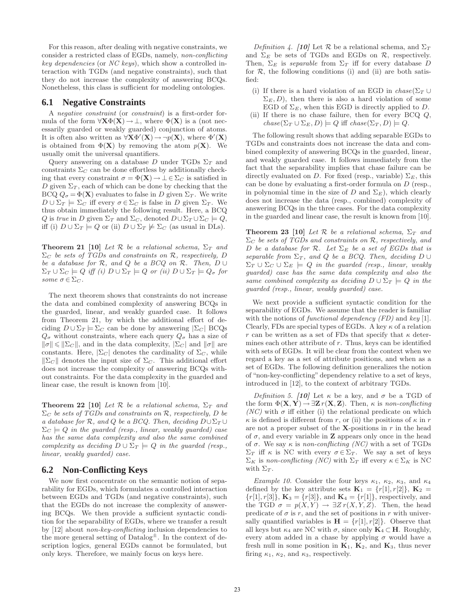For this reason, after dealing with negative constraints, we consider a restricted class of EGDs, namely, non-conflicting key dependencies (or NC keys), which show a controlled interaction with TGDs (and negative constraints), such that they do not increase the complexity of answering BCQs. Nonetheless, this class is sufficient for modeling ontologies.

### **6.1 Negative Constraints**

A negative constraint (or constraint) is a first-order formula of the form  $\forall \mathbf{X} \Phi(\mathbf{X}) \rightarrow \bot$ , where  $\Phi(\mathbf{X})$  is a (not necessarily guarded or weakly guarded) conjunction of atoms. It is often also written as  $\forall \mathbf{X} \Phi'(\mathbf{X}) \rightarrow \neg p(\mathbf{X})$ , where  $\Phi'(\mathbf{X})$ is obtained from  $\Phi(\mathbf{X})$  by removing the atom  $p(\mathbf{X})$ . We usually omit the universal quantifiers.

Query answering on a database D under TGDs  $\Sigma_T$  and constraints  $\Sigma_C$  can be done effortless by additionally checking that every constraint  $\sigma = \Phi(\mathbf{X}) \to \bot \in \Sigma_C$  is satisfied in D given  $\Sigma_T$ , each of which can be done by checking that the BCQ  $Q_{\sigma} = \Phi(\mathbf{X})$  evaluates to false in D given  $\Sigma_T$ . We write  $D \cup \Sigma_T \models \Sigma_C$  iff every  $\sigma \in \Sigma_C$  is false in D given  $\Sigma_T$ . We thus obtain immediately the following result. Here, a BCQ Q is true in D given  $\Sigma_T$  and  $\Sigma_C$ , denoted  $D \cup \Sigma_T \cup \Sigma_C \models Q$ , iff (i)  $D \cup \Sigma_T \models Q$  or (ii)  $D \cup \Sigma_T \not\models \Sigma_C$  (as usual in DLs).

**Theorem 21 [10]** Let  $\mathcal{R}$  be a relational schema,  $\Sigma_T$  and  $\Sigma_c$  be sets of TGDs and constraints on R, respectively, D be a database for  $\mathcal R$ , and  $Q$  be a BCQ on  $\mathcal R$ . Then,  $D \cup$  $\Sigma_T \cup \Sigma_C \models Q$  iff (i)  $D \cup \Sigma_T \models Q$  or (ii)  $D \cup \Sigma_T \models Q_{\sigma}$  for some  $\sigma \in \Sigma_C$ .

The next theorem shows that constraints do not increase the data and combined complexity of answering BCQs in the guarded, linear, and weakly guarded case. It follows from Theorem 21, by which the additional effort of deciding  $D \cup \Sigma_T \models \Sigma_C$  can be done by answering  $|\Sigma_C|$  BCQs  $Q_{\sigma}$  without constraints, where each query  $Q_{\sigma}$  has a size of  $\|\sigma\| \leq \|\Sigma_C\|$ , and in the data complexity,  $|\Sigma_C|$  and  $\|\sigma\|$  are constants. Here,  $|\Sigma_C|$  denotes the cardinality of  $\Sigma_C$ , while  $\|\Sigma_C\|$  denotes the input size of  $\Sigma_C$ . This additional effort does not increase the complexity of answering BCQs without constraints. For the data complexity in the guarded and linear case, the result is known from [10].

Theorem 22 [10] Let  $R$  be a relational schema,  $\Sigma_T$  and  $\Sigma_C$  be sets of TGDs and constraints on R, respectively, D be a database for R, and Q be a BCQ. Then, deciding  $D \cup \Sigma_T \cup$  $\Sigma_C \models Q$  in the guarded (resp., linear, weakly guarded) case has the same data complexity and also the same combined complexity as deciding  $D \cup \Sigma_T \models Q$  in the guarded (resp., linear, weakly guarded) case.

### **6.2 Non-Conflicting Keys**

We now first concentrate on the semantic notion of separability for EGDs, which formulates a controlled interaction between EGDs and TGDs (and negative constraints), such that the EGDs do not increase the complexity of answering BCQs. We then provide a sufficient syntactic condition for the separability of EGDs, where we transfer a result by [12] about *non-key-conflicting* inclusion dependencies to the more general setting of  $Datalog^{\pm}$ . In the context of description logics, general EGDs cannot be formulated, but only keys. Therefore, we mainly focus on keys here.

Definition 4. [10] Let R be a relational schema, and  $\Sigma_T$ and  $\Sigma_E$  be sets of TGDs and EGDs on  $\mathcal{R}$ , respectively. Then,  $\Sigma_E$  is separable from  $\Sigma_T$  iff for every database D for  $R$ , the following conditions (i) and (ii) are both satisfied:

- (i) If there is a hard violation of an EGD in  $chase(\Sigma_T \cup$  $\Sigma_E, D$ ), then there is also a hard violation of some EGD of  $\Sigma_E$ , when this EGD is directly applied to D.
- (ii) If there is no chase failure, then for every BCQ  $Q$ ,  $chase(\Sigma_T \cup \Sigma_E, D) \models Q$  iff  $chase(\Sigma_T, D) \models Q$ .

The following result shows that adding separable EGDs to TGDs and constraints does not increase the data and combined complexity of answering BCQs in the guarded, linear, and weakly guarded case. It follows immediately from the fact that the separability implies that chase failure can be directly evaluated on D. For fixed (resp., variable)  $\Sigma_E$ , this can be done by evaluating a first-order formula on D (resp., in polynomial time in the size of D and  $\Sigma_E$ ), which clearly does not increase the data (resp., combined) complexity of answering BCQs in the three cases. For the data complexity in the guarded and linear case, the result is known from [10].

**Theorem 23 [10]** Let  $\mathcal{R}$  be a relational schema,  $\Sigma_T$  and  $\Sigma_C$  be sets of TGDs and constraints on R, respectively, and D be a database for R. Let  $\Sigma_E$  be a set of EGDs that is separable from  $\Sigma_T$ , and Q be a BCQ. Then, deciding D ∪  $\Sigma_T \cup \Sigma_C \cup \Sigma_E \models Q$  in the guarded (resp., linear, weakly guarded) case has the same data complexity and also the same combined complexity as deciding  $D \cup \Sigma_T \models Q$  in the guarded (resp., linear, weakly guarded) case.

We next provide a sufficient syntactic condition for the separability of EGDs. We assume that the reader is familiar with the notions of functional dependency  $(FD)$  and key [1]. Clearly, FDs are special types of EGDs. A key  $\kappa$  of a relation r can be written as a set of FDs that specify that  $\kappa$  determines each other attribute of  $r$ . Thus, keys can be identified with sets of EGDs. It will be clear from the context when we regard a key as a set of attribute positions, and when as a set of EGDs. The following definition generalizes the notion of "non-key-conflicting" dependency relative to a set of keys, introduced in [12], to the context of arbitrary TGDs.

Definition 5. [10] Let  $\kappa$  be a key, and  $\sigma$  be a TGD of the form  $\Phi(\mathbf{X}, \mathbf{Y}) \rightarrow \exists \mathbf{Z} r(\mathbf{X}, \mathbf{Z})$ . Then,  $\kappa$  is non-conflicting (NC) with  $\sigma$  iff either (i) the relational predicate on which  $\kappa$  is defined is different from r, or (ii) the positions of  $\kappa$  in r are not a proper subset of the  $X$ -positions in r in the head of  $\sigma$ , and every variable in **Z** appears only once in the head of  $\sigma$ . We say  $\kappa$  is non-conflicting (NC) with a set of TGDs  $\Sigma_T$  iff  $\kappa$  is NC with every  $\sigma \in \Sigma_T$ . We say a set of keys  $\Sigma_K$  is non-conflicting (NC) with  $\Sigma_T$  iff every  $\kappa \in \Sigma_K$  is NC with  $\Sigma_T$ .

Example 10. Consider the four keys  $\kappa_1$ ,  $\kappa_2$ ,  $\kappa_3$ , and  $\kappa_4$ defined by the key attribute sets  $\mathbf{K}_1 = \{r[1], r[2]\}, \mathbf{K}_2 =$  $\{r[1], r[3]\}, K_3 = \{r[3]\}, \text{ and } K_4 = \{r[1]\}, \text{ respectively, and}$ the TGD  $\sigma = p(X, Y) \rightarrow \exists Z r(X, Y, Z)$ . Then, the head predicate of  $\sigma$  is r, and the set of positions in r with universally quantified variables is  $\mathbf{H} = \{r[1], r[2]\}\$ . Observe that all keys but  $\kappa_4$  are NC with  $\sigma$ , since only  $\mathbf{K}_4 \subset \mathbf{H}$ . Roughly, every atom added in a chase by applying  $\sigma$  would have a fresh null in some position in  $\mathbf{K}_1$ ,  $\mathbf{K}_2$ , and  $\mathbf{K}_3$ , thus never firing  $\kappa_1$ ,  $\kappa_2$ , and  $\kappa_3$ , respectively.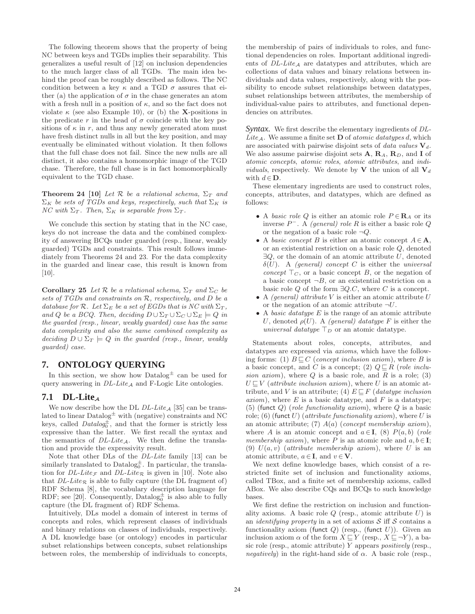The following theorem shows that the property of being NC between keys and TGDs implies their separability. This generalizes a useful result of [12] on inclusion dependencies to the much larger class of all TGDs. The main idea behind the proof can be roughly described as follows. The NC condition between a key  $\kappa$  and a TGD  $\sigma$  assures that either (a) the application of  $\sigma$  in the chase generates an atom with a fresh null in a position of  $\kappa$ , and so the fact does not violate  $\kappa$  (see also Example 10), or (b) the **X**-positions in the predicate r in the head of  $\sigma$  coincide with the key positions of  $\kappa$  in r, and thus any newly generated atom must have fresh distinct nulls in all but the key position, and may eventually be eliminated without violation. It then follows that the full chase does not fail. Since the new nulls are all distinct, it also contains a homomorphic image of the TGD chase. Therefore, the full chase is in fact homomorphically equivalent to the TGD chase.

**Theorem 24 [10]** Let R be a relational schema,  $\Sigma_T$  and  $\Sigma_K$  be sets of TGDs and keys, respectively, such that  $\Sigma_K$  is NC with  $\Sigma_T$ . Then,  $\Sigma_K$  is separable from  $\Sigma_T$ .

We conclude this section by stating that in the NC case, keys do not increase the data and the combined complexity of answering BCQs under guarded (resp., linear, weakly guarded) TGDs and constraints. This result follows immediately from Theorems 24 and 23. For the data complexity in the guarded and linear case, this result is known from [10].

Corollary 25 Let  $\mathcal R$  be a relational schema,  $\Sigma_T$  and  $\Sigma_C$  be sets of TGDs and constraints on R, respectively, and D be a database for  $\mathcal R$ . Let  $\Sigma_E$  be a set of EGDs that is NC with  $\Sigma_T$ , and Q be a BCQ. Then, deciding  $D \cup \Sigma_T \cup \Sigma_C \cup \Sigma_E \models Q$  in the guarded (resp., linear, weakly guarded) case has the same data complexity and also the same combined complexity as deciding  $D \cup \Sigma_T \models Q$  in the guarded (resp., linear, weakly guarded) case.

# **7. ONTOLOGY QUERYING**

In this section, we show how  $\text{Database}^{\pm}$  can be used for query answering in  $DL\text{-}Lite_A$  and F-Logic Lite ontologies.

# 7.1 DL-Lite<sub>A</sub>

We now describe how the DL  $DL\text{-}Like_{\mathcal{A}}$  [35] can be translated to linear  $\text{Database}^{\pm}$  with (negative) constraints and NC keys, called  $Database\bar{D}$  and that the former is strictly less expressive than the latter. We first recall the syntax and the semantics of  $DL\text{-}Lite_A$ . We then define the translation and provide the expressivity result.

Note that other DLs of the DL-Lite family [13] can be similarly translated to  $\text{Database}^{\pm}_{0}$ . In particular, the translation for DL-Lite<sub>F</sub> and DL-Lite<sub>R</sub> is given in [10]. Note also that  $DL\text{-}Lie_{\mathcal{R}}$  is able to fully capture (the DL fragment of) RDF Schema [8], the vocabulary description language for RDF; see [20]. Consequently, Datalog  $\pm$  is also able to fully capture (the DL fragment of) RDF Schema.

Intuitively, DLs model a domain of interest in terms of concepts and roles, which represent classes of individuals and binary relations on classes of individuals, respectively. A DL knowledge base (or ontology) encodes in particular subset relationships between concepts, subset relationships between roles, the membership of individuals to concepts,

the membership of pairs of individuals to roles, and functional dependencies on roles. Important additional ingredients of  $DL\text{-}Lite_A$  are datatypes and attributes, which are collections of data values and binary relations between individuals and data values, respectively, along with the possibility to encode subset relationships between datatypes, subset relationships between attributes, the membership of individual-value pairs to attributes, and functional dependencies on attributes.

*Syntax.* We first describe the elementary ingredients of DL-Lite<sub>A</sub>. We assume a finite set **D** of *atomic datatypes d*, which are associated with pairwise disjoint sets of *data values*  $V_d$ . We also assume pairwise disjoint sets  $A, R_A, R_D,$  and I of atomic concepts, atomic roles, atomic attributes, and indi*viduals*, respectively. We denote by **V** the union of all  $V_d$ with  $d \in \mathbf{D}$ .

These elementary ingredients are used to construct roles, concepts, attributes, and datatypes, which are defined as follows:

- A basic role Q is either an atomic role  $P \in \mathbf{R}_A$  or its inverse  $P^-$ . A *(general) role R* is either a basic role Q or the negation of a basic role  $\neg Q$ .
- A basic concept B is either an atomic concept  $A \in \mathbf{A}$ , or an existential restriction on a basic role Q, denoted  $\exists Q$ , or the domain of an atomic attribute U, denoted  $\delta(U)$ . A (general) concept C is either the universal concept  $\top_C$ , or a basic concept B, or the negation of a basic concept  $\neg B$ , or an existential restriction on a basic role  $Q$  of the form  $\exists Q.C$ , where C is a concept.
- A *(general)* attribute V is either an atomic attribute  $U$ or the negation of an atomic attribute  $\neg U$ .
- A basic datatype  $E$  is the range of an atomic attribute U, denoted  $\rho(U)$ . A *(general)* datatype F is either the universal datatype  $\top_D$  or an atomic datatype.

Statements about roles, concepts, attributes, and datatypes are expressed via axioms, which have the following forms: (1)  $B \sqsubseteq C$  (concept inclusion axiom), where B is a basic concept, and C is a concept; (2)  $Q \sqsubseteq R$  (role inclusion axiom), where  $Q$  is a basic role, and  $R$  is a role; (3)  $U \subseteq V$  (attribute inclusion axiom), where U is an atomic attribute, and V is an attribute; (4)  $E \sqsubseteq F$  (datatype inclusion axiom), where  $E$  is a basic datatype, and  $F$  is a datatype; (5) (funct  $Q$ ) (role functionality axiom), where  $Q$  is a basic role; (6) (funct  $U$ ) (*attribute functionality axiom*), where  $U$  is an atomic attribute; (7)  $A(a)$  (concept membership axiom), where A is an atomic concept and  $a \in I$ , (8)  $P(a, b)$  (role membership axiom), where P is an atomic role and  $a, b \in I$ ; (9)  $U(a, v)$  (attribute membership axiom), where U is an atomic attribute,  $a \in I$ , and  $v \in V$ .

We next define knowledge bases, which consist of a restricted finite set of inclusion and functionality axioms, called TBox, and a finite set of membership axioms, called ABox. We also describe CQs and BCQs to such knowledge bases.

We first define the restriction on inclusion and functionality axioms. A basic role  $Q$  (resp., atomic attribute  $U$ ) is an *identifying property* in a set of axioms  $S$  iff  $S$  contains a functionality axiom (funct  $Q$ ) (resp., (funct  $U$ )). Given an inclusion axiom  $\alpha$  of the form  $X \sqsubseteq Y$  (resp.,  $X \sqsubseteq \neg Y$ ), a basic role (resp., atomic attribute)  $Y$  appears *positively* (resp., negatively) in the right-hand side of  $\alpha$ . A basic role (resp.,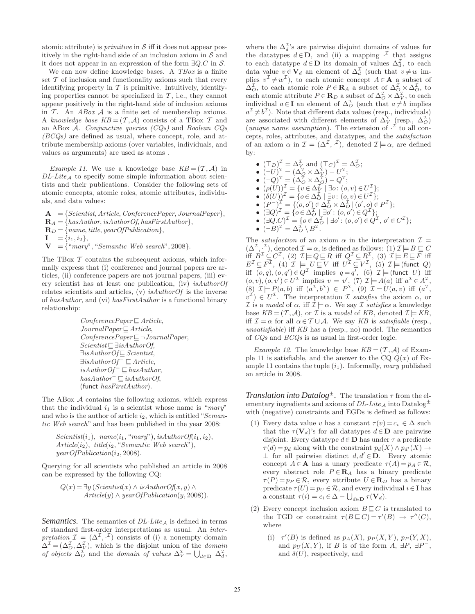atomic attribute) is *primitive* in  $S$  iff it does not appear positively in the right-hand side of an inclusion axiom in  $S$  and it does not appear in an expression of the form  $\exists Q.C$  in S.

We can now define knowledge bases. A  $TBox$  is a finite set  $\mathcal T$  of inclusion and functionality axioms such that every identifying property in  $\mathcal T$  is primitive. Intuitively, identifying properties cannot be specialized in  $\mathcal{T}$ , i.e., they cannot appear positively in the right-hand side of inclusion axioms in  $\mathcal T$ . An ABox  $\mathcal A$  is a finite set of membership axioms. A knowledge base  $KB = (\mathcal{T}, \mathcal{A})$  consists of a TBox  $\mathcal{T}$  and an ABox A. Conjunctive queries  $(CQs)$  and Boolean  $CQs$  $(BCQs)$  are defined as usual, where concept, role, and attribute membership axioms (over variables, individuals, and values as arguments) are used as atoms .

*Example 11.* We use a knowledge base  $KB = (T, \mathcal{A})$  in  $DL\text{-}Lite_A$  to specify some simple information about scientists and their publications. Consider the following sets of atomic concepts, atomic roles, atomic attributes, individuals, and data values:

 $A = \{Scientist, Article, Conference Paper, JournalPaper\},\$  $\mathbf{R}_A = \{hasAuthor, isAuthorOf, has First Author\},\$  $\mathbf{R}_D = \{name, title, yearOfPublication\},\$  $I = \{i_1, i_2\},\$  $V = \{$ "mary", "Semantic Web search", 2008 $\}.$ 

The TBox  $\mathcal T$  contains the subsequent axioms, which informally express that (i) conference and journal papers are articles, (ii) conference papers are not journal papers, (iii) every scientist has at least one publication, (iv) isAuthorOf relates scientists and articles,  $(v)$  *is AuthorOf* is the inverse of hasAuthor, and (vi) hasFirstAuthor is a functional binary relationship:

$$
ConferencePaper \sqsubseteq Article, \nJournalPaper \sqsubseteq Article, \nConference Paper \sqsubseteq \neg JournalPaper, \nScientist \sqsubseteq \exists isAuthorOf, \nSisubthorOf \sqsubseteq Scientific, \nSisubthorOf \sqsubseteq Scientific, \nisAuthorOf \sqsubseteq Institute, \nisAuthorOf \sqsubseteq hasAuthorOf, \nhasAuthor \sqsubseteq isAuthorOf, \n(funct has FirstAuthor).
$$

The ABox A contains the following axioms, which express that the individual  $i_1$  is a scientist whose name is "mary" and who is the author of article  $i_2$ , which is entitled "Semantic Web search" and has been published in the year 2008:

Scientist(i1), name(i1, "mary"), isAuthorOf(i1, i2), Article(i2), title(i2, "Semantic Web search"), yearOfPublication(i2, 2008).

Querying for all scientists who published an article in 2008 can be expressed by the following CQ:

$$
Q(x) = \exists y (Scientist(x) \land isAuthorOf(x, y) \land
$$
  
Article(y)  $\land$  yearOfPublication(y, 2008)).

*Semantics.* The semantics of  $DL\text{-}Like_A$  is defined in terms of standard first-order interpretations as usual. An interpretation  $\mathcal{I} = (\Delta^{\mathcal{I}}, \cdot^{\mathcal{I}})$  consists of (i) a nonempty domain  $\Delta^{\mathcal{I}} = (\Delta^{\mathcal{I}}_{O}, \Delta^{\mathcal{I}}_{V})$ , which is the disjoint union of the *domain* of objects  $\Delta_O^{\mathcal{I}}$  and the *domain of values*  $\Delta_V^{\mathcal{I}} = \bigcup_{d \in \mathbf{D}} \Delta_d^{\mathcal{I}}$ ,

where the  $\Delta_d^{\mathcal{I}}$ 's are pairwise disjoint domains of values for the datatypes  $d \in \mathbf{D}$ , and (ii) a mapping  $\cdot^{\mathcal{I}}$  that assigns to each datatype  $d \in \mathbf{D}$  its domain of values  $\Delta_d^{\mathcal{I}}$ , to each data value  $v \in V_d$  an element of  $\Delta_d^{\mathcal{I}}$  (such that  $v \neq w$  implies  $v^{\mathcal{I}} \neq w^{\mathcal{I}}$ ), to each atomic concept  $A \in \mathbf{A}$  a subset of  $\Delta_O^{\mathcal{I}}$ , to each atomic role  $P \in \mathbf{R}_A$  a subset of  $\Delta_O^{\mathcal{I}} \times \Delta_O^{\mathcal{I}}$ , to each atomic attribute  $P \in \mathbf{R}_D$  a subset of  $\Delta_O^{\mathcal{I}} \times \Delta_V^{\mathcal{I}}$ , to each individual  $a \in I$  an element of  $\Delta_O^{\mathcal{I}}$  (such that  $a \neq b$  implies  $a^{\mathcal{I}} \neq b^{\mathcal{I}}$ ). Note that different data values (resp., individuals) are associated with different elements of  $\Delta_V^{\mathcal{I}}$  (resp.,  $\Delta_O^{\mathcal{I}}$ ) (*unique name assumption*). The extension of  $\cdot^{\mathcal{I}}$  to all concepts, roles, attributes, and datatypes, and the satisfaction of an axiom  $\alpha$  in  $\mathcal{I} = (\Delta^{\mathcal{I}}, \cdot^{\mathcal{I}})$ , denoted  $\mathcal{I} \models \alpha$ , are defined by:

•  $(\top_D)^{\mathcal{I}} = \Delta_V^{\mathcal{I}}$  and  $(\top_C)^{\mathcal{I}} = \Delta_O^{\mathcal{I}};$ •  $(\neg U)^{\mathcal{I}}_{\neg} = (\Delta^{\mathcal{I}}_{\mathcal{Q}} \times \Delta^{\mathcal{I}}_{\mathcal{Y}}) - U^{\mathcal{I}}_{\neg}$ ; •  $(\neg Q)^{\mathcal{I}} = (\Delta_O^{\mathcal{I}} \times \Delta_O^{\mathcal{I}}) - Q^{\mathcal{I}};$ •  $(\rho(\hat{U}))^{\mathcal{I}} = \{v \in \Delta^{\mathcal{I}}_{V} \mid \exists o : (o, v) \in U^{\mathcal{I}}_{-}\};$ •  $(\delta(U))^{\mathcal{I}} = \{o \in \Delta_O^{\mathcal{I}} \mid \exists v : (o, v) \in U^{\mathcal{I}}\};\$ •  $(P^{-})^{\mathcal{I}} = \{ (o, o') \in \Delta_O^{\mathcal{I}} \times \Delta_O^{\mathcal{I}} \mid (o', o) \in P^{\mathcal{I}} \};$ •  $(\exists Q)^{\mathcal{I}} = \{o \in \Delta_{O}^{\mathcal{I}} \mid \exists o' : (o, o') \in Q^{\mathcal{I}}\};\$ •  $(\exists Q.C)^{\mathcal{I}} = \{o \in \Delta_O^{\mathcal{I}} \mid \exists o' : (o, o') \in Q^{\mathcal{I}}, o' \in C^{\mathcal{I}}\};$ 

•  $(\neg B)^{\mathcal{I}} = \Delta_O^{\mathcal{I}} \setminus B^{\mathcal{I}}$ .

The *satisfaction* of an axiom  $\alpha$  in the interpretation  $\mathcal{I} =$  $(\Delta^{\mathcal{I}}, \cdot^{\mathcal{I}})$ , denoted  $\mathcal{I} \models \alpha$ , is defined as follows: (1)  $\mathcal{I} \models B \sqsubseteq C$ iff  $B^{\mathcal{I}} \subseteq C^{\mathcal{I}}$ , (2)  $\mathcal{I} \models Q \sqsubseteq R$  iff  $Q^{\mathcal{I}} \subseteq R^{\mathcal{I}}$ , (3)  $\mathcal{I} \models E \sqsubseteq F$  iff  $E^{\mathcal{I}} \subseteq F^{\mathcal{I}}$ , (4)  $\mathcal{I} \models U \sqsubseteq V$  iff  $U^{\mathcal{I}} \subseteq V^{\mathcal{I}}$ , (5)  $\mathcal{I} \models$  (funct  $Q$ ) iff  $(o,q), (o,q') \in Q^{\mathcal{I}}$  implies  $q = q'$ , (6)  $\mathcal{I} \models$  (funct U) iff  $(o, v), (o, v') \in U^{\mathcal{I}}$  implies  $v = v'$ , (7)  $\mathcal{I} \models A(a)$  iff  $a^{\mathcal{I}} \in A^{\mathcal{I}}$ , (8)  $\mathcal{I} \models P(a, b)$  iff  $(a^{\mathcal{I}}, b^{\mathcal{I}}) \in P^{\mathcal{I}}$ , (9)  $\mathcal{I} \models U(a, v)$  iff  $(a^{\mathcal{I}}, b^{\mathcal{I}})$  $v^{\mathcal{I}}$ )  $\in U^{\mathcal{I}}$ . The interpretation  $\mathcal{I}$  satisfies the axiom  $\alpha$ , or I is a model of  $\alpha$ , iff  $\mathcal{I} \models \alpha$ . We say I satisfies a knowledge base  $KB = (\mathcal{T}, \mathcal{A})$ , or  $\mathcal{I}$  is a model of KB, denoted  $\mathcal{I} \models KB$ , iff  $\mathcal{I} \models \alpha$  for all  $\alpha \in \mathcal{T} \cup \mathcal{A}$ . We say KB is satisfiable (resp., unsatisfiable) iff KB has a (resp., no) model. The semantics of CQs and BCQs is as usual in first-order logic.

*Example 12.* The knowledge base  $KB = (\mathcal{T}, \mathcal{A})$  of Example 11 is satisfiable, and the answer to the CQ  $Q(x)$  of Example 11 contains the tuple  $(i_1)$ . Informally, *mary* published an article in 2008.

*Translation into Datalog*<sup> $\pm$ </sup>. The translation  $\tau$  from the elementary ingredients and axioms of  $DL\text{-}Lite_{\mathcal{A}}$  into  $\text{Datalog}^{\pm}$ with (negative) constraints and EGDs is defined as follows:

- (1) Every data value v has a constant  $\tau(v) = c_v \in \Delta$  such that the  $\tau(\mathbf{V}_d)$ 's for all datatypes  $d \in \mathbf{D}$  are pairwise disjoint. Every datatype  $d \in \mathbf{D}$  has under  $\tau$  a predicate  $\tau(d) = p_d$  along with the constraint  $p_d(X) \wedge p_{d'}(X) \rightarrow$  $\perp$  for all pairwise distinct  $d, d' \in \mathbf{D}$ . Every atomic concept  $A \in \mathbf{A}$  has a unary predicate  $\tau(A) = p_A \in \mathcal{R}$ , every abstract role  $P \in \mathbf{R}_A$  has a binary predicate  $\tau(P) = p_P \in \mathcal{R}$ , every attribute  $U \in \mathbf{R}_D$  has a binary predicate  $\tau(U) = p_U \in \mathcal{R}$ , and every individual  $i \in \mathbf{I}$  has a constant  $\tau(i) = c_i \in \Delta - \bigcup_{d \in \mathbf{D}} \tau(\mathbf{V}_d).$
- (2) Every concept inclusion axiom  $B \sqsubseteq C$  is translated to the TGD or constraint  $\tau(B \sqsubseteq C) = \tau'(B) \rightarrow \tau''(C)$ , where
	- (i)  $\tau'(B)$  is defined as  $p_A(X)$ ,  $p_P(X, Y)$ ,  $p_P(Y, X)$ , and  $p_U(X, Y)$ , if B is of the form  $A$ ,  $\exists P$ ,  $\exists P^-$ , and  $\delta(U)$ , respectively, and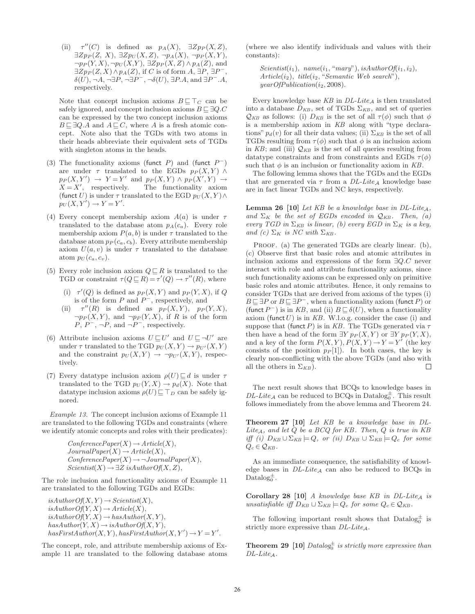$(ii)$  $\tau''(C)$  is defined as  $p_A(X)$ ,  $\exists Z p_P(X, Z)$ ,  $\exists Zp_P(Z, X), \exists Zp_U(X, Z), \neg p_A(X), \neg p_P(X, Y),$  $\neg p_P(Y, X), \neg p_U(X, Y), \exists Z p_P(X, Z) \wedge p_A(Z),$  and  $\exists Zp_P(Z, X) \wedge p_A(Z)$ , if C is of form  $A, \exists P, \exists P^-$ ,  $\delta(U)$ ,  $\neg A$ ,  $\neg \exists P$ ,  $\neg \exists P^-$ ,  $\neg \delta(U)$ ,  $\exists P.A$ , and  $\exists P^- . A$ , respectively.

Note that concept inclusion axioms  $B \subseteq \top_C$  can be safely ignored, and concept inclusion axioms  $B \sqsubseteq \exists Q.C$ can be expressed by the two concept inclusion axioms  $B \sqsubseteq \exists Q.A$  and  $A \sqsubseteq C$ , where A is a fresh atomic concept. Note also that the TGDs with two atoms in their heads abbreviate their equivalent sets of TGDs with singleton atoms in the heads.

- (3) The functionality axioms (funct  $P$ ) and (funct  $P^-$ ) are under  $\tau$  translated to the EGDs  $p_P(X, Y) \wedge$  $p_P(X, Y') \rightarrow Y = Y'$  and  $p_P(X, Y) \wedge p_P(X', Y) \rightarrow$  $X = X'$ , respectively. The functionality axiom (funct U) is under  $\tau$  translated to the EGD  $p_U(X, Y) \wedge$  $p_U(X, Y') \to Y = Y'.$
- (4) Every concept membership axiom  $A(a)$  is under  $\tau$ translated to the database atom  $p_A(c_a)$ . Every role membership axiom  $P(a, b)$  is under  $\tau$  translated to the database atom  $p_P(c_a, c_b)$ . Every attribute membership axiom  $U(a, v)$  is under  $\tau$  translated to the database atom  $p_U(c_a, c_v)$ .
- (5) Every role inclusion axiom  $Q \sqsubseteq R$  is translated to the TGD or constraint  $\tau(Q \sqsubseteq R) = \tau'(Q) \to \tau''(R)$ , where
	- (i)  $\tau'(Q)$  is defined as  $p_P(X, Y)$  and  $p_P(Y, X)$ , if Q is of the form  $P$  and  $P^-$ , respectively, and
	- $(ii)$  $\tau''(R)$  is defined as  $p_P(X, Y)$ ,  $p_P(Y, X)$ ,  $\neg p_P(X, Y)$ , and  $\neg p_P(Y, X)$ , if R is of the form  $P, P^-, \neg P, \text{ and } \neg P^-, \text{ respectively.}$
- (6) Attribute inclusion axioms  $U \sqsubseteq U'$  and  $U \sqsubseteq \neg U'$  are under  $\tau$  translated to the TGD  $p_U(X, Y) \to p_{U'}(X, Y)$ and the constraint  $p_U(X, Y) \to \neg p_{U'}(X, Y)$ , respectively.
- (7) Every datatype inclusion axiom  $\rho(U) \sqsubseteq d$  is under  $\tau$ translated to the TGD  $p_U(Y, X) \to p_d(X)$ . Note that datatype inclusion axioms  $\rho(U) \subseteq \top_D$  can be safely ignored.

Example 13. The concept inclusion axioms of Example 11 are translated to the following TGDs and constraints (where we identify atomic concepts and roles with their predicates):

> $ConferencePaper (X) \rightarrow Article (X),$  $JournalPaper (X) \rightarrow Article (X),$  $ConferencePaper (X) \rightarrow \neg JournalPaper (X),$  $Scientist(X) \rightarrow \exists Z \; isAuthorOf(X, Z),$

The role inclusion and functionality axioms of Example 11 are translated to the following TGDs and EGDs:

 $isAuthorOf(X, Y) \rightarrow Scientific(X),$  $isAuthorOf(Y, X) \rightarrow Article(X),$  $isAuthorOf(Y, X) \rightarrow hasAuthor(X, Y),$  $hasAuthor(Y, X) \rightarrow isAuthorOf(X, Y),$  $hasFirstAuthor(X, Y), has FirstAuthor(X, Y') \rightarrow Y = Y'.$ 

The concept, role, and attribute membership axioms of Example 11 are translated to the following database atoms (where we also identify individuals and values with their constants):

 $Scientist(i_1), name(i_1, "mary"), isAuthorOf(i_1, i_2),$  $Article(i<sub>2</sub>), title(i<sub>2</sub>, "Semantic Web search"),$  $yearOfPublication(i<sub>2</sub>, 2008).$ 

Every knowledge base  $KB$  in  $DL\text{-}Lite_{\mathcal{A}}$  is then translated into a database  $D_{KB}$ , set of TGDs  $\Sigma_{KB}$ , and set of queries  $\mathcal{Q}_{KB}$  as follows: (i)  $D_{KB}$  is the set of all  $\tau(\phi)$  such that  $\phi$ is a membership axiom in KB along with "type declarations"  $p_d(v)$  for all their data values; (ii)  $\Sigma_{KB}$  is the set of all TGDs resulting from  $\tau(\phi)$  such that  $\phi$  is an inclusion axiom in KB; and (iii)  $\mathcal{Q}_{KB}$  is the set of all queries resulting from datatype constraints and from constraints and EGDs  $\tau(\phi)$ such that  $\phi$  is an inclusion or functionality axiom in KB.

The following lemma shows that the TGDs and the EGDs that are generated via  $\tau$  from a  $DL\text{-}Lite_A$  knowledge base are in fact linear TGDs and NC keys, respectively.

**Lemma 26 [10]** Let KB be a knowledge base in  $DL\text{-}Like_A$ , and  $\Sigma_K$  be the set of EGDs encoded in  $\mathcal{Q}_{KB}$ . Then, (a) every TGD in  $\Sigma_{KB}$  is linear, (b) every EGD in  $\Sigma_K$  is a key, and (c)  $\Sigma_K$  is NC with  $\Sigma_{KB}$ .

PROOF. (a) The generated TGDs are clearly linear. (b), (c) Observe first that basic roles and atomic attributes in inclusion axioms and expressions of the form ∃Q.C never interact with role and attribute functionality axioms, since such functionality axioms can be expressed only on primitive basic roles and atomic attributes. Hence, it only remains to consider TGDs that are derived from axioms of the types (i)  $B \sqsubseteq \exists P$  or  $B \sqsubseteq \exists P^-$ , when a functionality axiom (funct P) or (funct  $P^-$ ) is in KB, and (ii)  $B \sqsubseteq \delta(U)$ , when a functionality axiom (funct  $U$ ) is in  $KB$ . W.l.o.g. consider the case (i) and suppose that (funct P) is in KB. The TGDs generated via  $\tau$ then have a head of the form  $\exists Y p_P(X, Y)$  or  $\exists Y p_P(Y, X)$ , and a key of the form  $P(X, Y), P(X, Y) \rightarrow Y = Y'$  (the key consists of the position  $p_P[1]$ . In both cases, the key is clearly non-conflicting with the above TGDs (and also with  $\Box$ all the others in  $\Sigma_{KB}$ ).

The next result shows that BCQs to knowledge bases in  $DL\text{-}Like_{\mathcal{A}}$  can be reduced to BCQs in Datalog  $_{0}^{\pm}$ . This result follows immediately from the above lemma and Theorem 24.

Theorem 27 [10] Let KB be a knowledge base in DL-Lite<sub>A</sub>, and let  $Q$  be a BC $Q$  for KB. Then,  $Q$  is true in KB iff (i)  $D_{KB} \cup \Sigma_{KB} \models Q$ , or (ii)  $D_{KB} \cup \Sigma_{KB} \models Q_c$  for some  $Q_c \in \mathcal{Q}_{KB}$ .

As an immediate consequence, the satisfiability of knowledge bases in  $DL\text{-}Lite_A$  can also be reduced to BCQs in Data $\log_0^{\pm}$ .

Corollary 28 [10] A knowledge base KB in  $DL\text{-}Like_A$  is unsatisfiable iff  $D_{KB} \cup \Sigma_{KB} \models Q_c$  for some  $Q_c \in \mathcal{Q}_{KB}$ .

The following important result shows that  $\text{Database}_{0}^{\pm}$  is strictly more expressive than  $DL\text{-}Lite_{\mathcal{A}}$ .

**Theorem 29** [10]  $Database_{0}^{\pm}$  is strictly more expressive than  $DL\text{-}Lite_{\mathcal{A}}$ .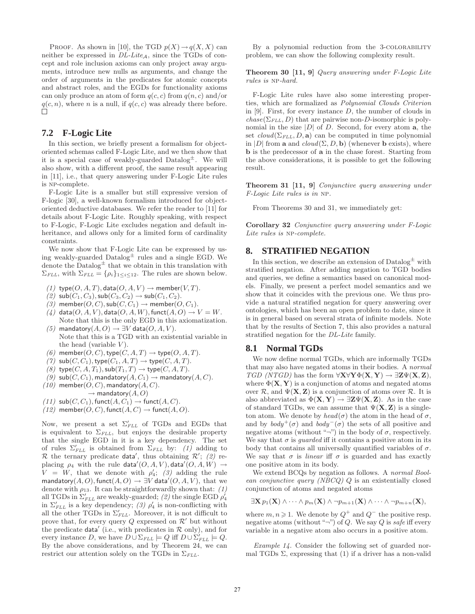PROOF. As shown in [10], the TGD  $p(X) \rightarrow q(X, X)$  can neither be expressed in  $DL\text{-}Like_A$ , since the TGDs of concept and role inclusion axioms can only project away arguments, introduce new nulls as arguments, and change the order of arguments in the predicates for atomic concepts and abstract roles, and the EGDs for functionality axioms can only produce an atom of form  $q(c, c)$  from  $q(n, c)$  and/or  $q(c, n)$ , where *n* is a null, if  $q(c, c)$  was already there before.

### **7.2 F-Logic Lite**

In this section, we briefly present a formalism for objectoriented schemas called F-Logic Lite, and we then show that it is a special case of weakly-guarded  $Datalog^{\pm}$ . We will also show, with a different proof, the same result appearing in [11], i.e., that query answering under F-Logic Lite rules is np-complete.

F-Logic Lite is a smaller but still expressive version of F-logic [30], a well-known formalism introduced for objectoriented deductive databases. We refer the reader to [11] for details about F-Logic Lite. Roughly speaking, with respect to F-Logic, F-Logic Lite excludes negation and default inheritance, and allows only for a limited form of cardinality constraints.

We now show that F-Logic Lite can be expressed by using weakly-guarded  $\text{Database}^{\pm}$  rules and a single EGD. We denote the  $\text{Database}^{\pm}$  that we obtain in this translation with  $\Sigma_{FLL}$ , with  $\Sigma_{FLL} = {\rho_i}_{1 \leq i \leq 12}$ . The rules are shown below.

- (1) type $(O, A, T)$ , data $(O, A, V)$   $\rightarrow$  member(V, T).
- $(2)$  sub $(C_1, C_3)$ , sub $(C_3, C_2)$   $\rightarrow$  sub $(C_1, C_2)$ .
- (3) member $(O, C)$ , sub $(C, C_1) \rightarrow$  member $(O, C_1)$ .
- $(4)$  data $(O, A, V)$ , data $(O, A, W)$ , funct $(A, O) \rightarrow V = W$ . Note that this is the only EGD in this axiomatization.
- (5) mandatory( $A, O$ )  $\rightarrow \exists V$  data( $O, A, V$ ). Note that this is a TGD with an existential variable in the head (variable  $V$ ).
- (6) member(O, C), type(C, A, T)  $\rightarrow$  type(O, A, T).
- (7)  $\mathsf{sub}(C, C_1)$ , type $(C_1, A, T) \rightarrow \mathsf{type}(C, A, T)$ .
- $(8)$  type $(C, A, T_1)$ , sub $(T_1, T) \rightarrow$  type $(C, A, T)$ .
- $(9)$  sub $(C, C_1)$ , mandatory $(A, C_1) \rightarrow$  mandatory $(A, C)$ .
- $(10)$  member $(O, C)$ , mandatory $(A, C)$ .
- $\rightarrow$  mandatory $(A, O)$
- (11)  $\mathsf{sub}(C, C_1)$ , funct $(A, C_1) \rightarrow \mathsf{funct}(A, C)$ .
- (12) member(O, C), funct(A, C)  $\rightarrow$  funct(A, O).

Now, we present a set  $\Sigma'_{FLL}$  of TGDs and EGDs that is equivalent to  $\Sigma_{FLL}$ , but enjoys the desirable property that the single EGD in it is a key dependency. The set of rules  $\Sigma'_{FLL}$  is obtained from  $\Sigma_{FLL}$  by: (1) adding to R the ternary predicate data', thus obtaining  $\mathcal{R}'$ ; (2) replacing  $\rho_4$  with the rule data' $(O, A, V)$ , data' $(O, A, W) \rightarrow$  $V = W$ , that we denote with  $\rho'_4$ ; (3) adding the rule mandatory $(A, O)$ , funct $(A, O) \rightarrow \exists V$  data' $(O, A, V)$ , that we denote with  $\rho_{13}$ . It can be straightforwardly shown that: (1) all TGDs in  $\Sigma'_{FLL}$  are weakly-guarded; (2) the single EGD  $\rho'_4$ in  $\Sigma'_{FLL}$  is a key dependency; (3)  $\rho'_{4}$  is non-conflicting with all the other TGDs in  $\Sigma'_{FLL}$ . Moreover, it is not difficult to prove that, for every query  $Q$  expressed on  $\mathcal{R}'$  but without the predicate data' (i.e., with predicates in  $R$  only), and for every instance D, we have  $D \cup \Sigma_{FLL} \models Q$  iff  $D \cup \Sigma'_{FLL} \models Q$ . By the above considerations, and by Theorem 24, we can restrict our attention solely on the TGDs in  $\Sigma_{FLL}$ .

By a polynomial reduction from the 3-COLORABILITY problem, we can show the following complexity result.

Theorem 30 [11, 9] Query answering under F-Logic Lite rules is np-hard.

F-Logic Lite rules have also some interesting properties, which are formalized as Polynomial Clouds Criterion in  $[9]$ . First, for every instance  $D$ , the number of clouds in  $chase(\Sigma_{FLL}, D)$  that are pairwise non-D-isomorphic is polynomial in the size  $|D|$  of D. Second, for every atom **a**, the set  $cloud(\Sigma_{FLL}, D, \mathbf{a})$  can be computed in time polynomial in |D| from a and  $cloud(\Sigma, D, \mathbf{b})$  (whenever b exists), where b is the predecessor of a in the chase forest. Starting from the above considerations, it is possible to get the following result.

Theorem 31 [11, 9] Conjunctive query answering under F-Logic Lite rules is in np.

From Theorems 30 and 31, we immediately get:

Corollary 32 Conjunctive query answering under F-Logic Lite rules is NP-complete.

### **8. STRATIFIED NEGATION**

In this section, we describe an extension of  $\text{Database}^{\pm}$  with stratified negation. After adding negation to TGD bodies and queries, we define a semantics based on canonical models. Finally, we present a perfect model semantics and we show that it coincides with the previous one. We thus provide a natural stratified negation for query answering over ontologies, which has been an open problem to date, since it is in general based on several strata of infinite models. Note that by the results of Section 7, this also provides a natural stratified negation for the DL-Lite family.

### **8.1 Normal TGDs**

We now define normal TGDs, which are informally TGDs that may also have negated atoms in their bodies. A normal TGD (NTGD) has the form  $\forall$ X $\forall$ Y $\Phi$ (**X,Y**)  $\rightarrow \exists$ **Z** $\Psi$ (**X,Z**), where  $\Phi(\mathbf{X}, \mathbf{Y})$  is a conjunction of atoms and negated atoms over  $\mathcal{R}$ , and  $\Psi(\mathbf{X}, \mathbf{Z})$  is a conjunction of atoms over  $\mathcal{R}$ . It is also abbreviated as  $\Phi(\mathbf{X}, \mathbf{Y}) \to \exists \mathbf{Z} \Psi(\mathbf{X}, \mathbf{Z})$ . As in the case of standard TGDs, we can assume that  $\Psi(\mathbf{X}, \mathbf{Z})$  is a singleton atom. We denote by  $head(\sigma)$  the atom in the head of  $\sigma$ , and by  $body^{+}(\sigma)$  and  $body^{-}(\sigma)$  the sets of all positive and negative atoms (without "¬") in the body of  $\sigma$ , respectively. We say that  $\sigma$  is *quarded* iff it contains a positive atom in its body that contains all universally quantified variables of  $\sigma$ . We say that  $\sigma$  is *linear* iff  $\sigma$  is guarded and has exactly one positive atom in its body.

We extend BCQs by negation as follows. A normal Boolean conjunctive query (NBCQ) Q is an existentially closed conjunction of atoms and negated atoms

$$
\exists \mathbf{X} p_1(\mathbf{X}) \wedge \cdots \wedge p_m(\mathbf{X}) \wedge \neg p_{m+1}(\mathbf{X}) \wedge \cdots \wedge \neg p_{m+n}(\mathbf{X}),
$$

where  $m, n \geq 1$ . We denote by  $Q^+$  and  $Q^-$  the positive resp. negative atoms (without " $\neg$ ") of Q. We say Q is safe iff every variable in a negative atom also occurs in a positive atom.

Example 14. Consider the following set of guarded normal TGDs  $\Sigma$ , expressing that (1) if a driver has a non-valid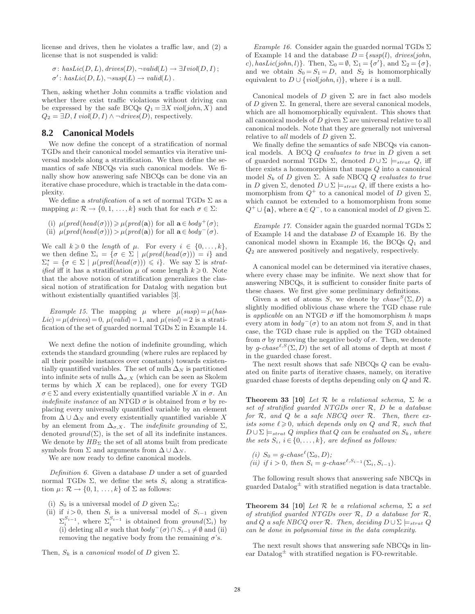license and drives, then he violates a traffic law, and (2) a license that is not suspended is valid:

$$
\sigma: \text{hasLic}(D, L), \text{drives}(D), \neg \text{valid}(L) \rightarrow \exists \text{I} \text{viol}(D, I) ;
$$
  

$$
\sigma': \text{hasLic}(D, L), \neg \text{susp}(L) \rightarrow \text{valid}(L).
$$

Then, asking whether John commits a traffic violation and whether there exist traffic violations without driving can be expressed by the safe BCQs  $Q_1 = \exists X \text{ viol}(john, X)$  and  $Q_2 = \exists D, I$  viol( $D, I$ )  $\land \neg drives(D)$ , respectively.

### **8.2 Canonical Models**

We now define the concept of a stratification of normal TGDs and their canonical model semantics via iterative universal models along a stratification. We then define the semantics of safe NBCQs via such canonical models. We finally show how answering safe NBCQs can be done via an iterative chase procedure, which is tractable in the data complexity.

We define a *stratification* of a set of normal TGDs  $\Sigma$  as a mapping  $\mu: \mathcal{R} \to \{0, 1, \ldots, k\}$  such that for each  $\sigma \in \Sigma$ :

(i)  $\mu(pred(head(\sigma))) \geq \mu(pred(\mathbf{a}))$  for all  $\mathbf{a} \in body^+(\sigma)$ ; (ii)  $\mu(pred(head(\sigma))) > \mu(pred(\mathbf{a}))$  for all  $\mathbf{a} \in body^{-}(\sigma)$ .

We call  $k \geq 0$  the *length* of  $\mu$ . For every  $i \in \{0, ..., k\},$ we then define  $\Sigma_i = \{ \sigma \in \Sigma \mid \mu(pred(head(\sigma))) = i \}$  and  $\Sigma_i^* = \{ \sigma \in \Sigma \mid \mu(pred(head(\sigma))) \leq i \}.$  We say  $\Sigma$  is strat*ified* iff it has a stratification  $\mu$  of some length  $k \geq 0$ . Note that the above notion of stratification generalizes the classical notion of stratification for Datalog with negation but without existentially quantified variables [3].

Example 15. The mapping  $\mu$  where  $\mu(susp) = \mu(has-)$  $Lie$ ) =  $\mu(drives) = 0$ ,  $\mu(vali d) = 1$ , and  $\mu(viol) = 2$  is a stratification of the set of guarded normal TGDs  $\Sigma$  in Example 14.

We next define the notion of indefinite grounding, which extends the standard grounding (where rules are replaced by all their possible instances over constants) towards existentially quantified variables. The set of nulls  $\Delta_N$  is partitioned into infinite sets of nulls  $\Delta_{\sigma,X}$  (which can be seen as Skolem terms by which  $X$  can be replaced), one for every  $TGD$  $\sigma \in \Sigma$  and every existentially quantified variable X in  $\sigma$ . An indefinite instance of an NTGD  $\sigma$  is obtained from  $\sigma$  by replacing every universally quantified variable by an element from  $\Delta \cup \Delta_N$  and every existentially quantified variable X by an element from  $\Delta_{\sigma,X}$ . The *indefinite grounding* of  $\Sigma$ , denoted  $ground(\Sigma)$ , is the set of all its indefinite instances. We denote by  $HB_{\Sigma}$  the set of all atoms built from predicate symbols from  $\Sigma$  and arguments from  $\Delta \cup \Delta_N$ .

We are now ready to define canonical models.

Definition 6. Given a database D under a set of guarded normal TGDs  $\Sigma$ , we define the sets  $S_i$  along a stratification  $\mu: \mathcal{R} \to \{0, 1, \ldots, k\}$  of  $\Sigma$  as follows:

- (i)  $S_0$  is a universal model of D given  $\Sigma_0$ ;
- (ii) if  $i > 0$ , then  $S_i$  is a universal model of  $S_{i-1}$  given  $\Sigma_i^{S_{i-1}}$ , where  $\Sigma_i^{S_{i-1}}$  is obtained from  $ground(\Sigma_i)$  by (i) deleting all  $\sigma$  such that  $body^-(\sigma) \cap S_{i-1} \neq \emptyset$  and (ii) removing the negative body from the remaining  $\sigma$ 's.

Then,  $S_k$  is a *canonical model* of D given  $\Sigma$ .

Example 16. Consider again the guarded normal TGDs  $\Sigma$ of Example 14 and the database  $D = \{susp(l), drives(john,$ c), hasLic(john, l) }. Then,  $\Sigma_0 = \emptyset$ ,  $\Sigma_1 = {\sigma'}$ , and  $\Sigma_2 = {\sigma}$ , and we obtain  $S_0 = S_1 = D$ , and  $S_2$  is homomorphically equivalent to  $D \cup \{viol(john, i)\}\$ , where i is a null.

Canonical models of D given  $\Sigma$  are in fact also models of D given  $\Sigma$ . In general, there are several canonical models, which are all homomorphically equivalent. This shows that all canonical models of D given  $\Sigma$  are universal relative to all canonical models. Note that they are generally not universal relative to *all* models of D given  $\Sigma$ .

We finally define the semantics of safe NBCQs via canonical models. A BCQ  $Q$  evaluates to true in  $D$  given a set of guarded normal TGDs  $\Sigma$ , denoted  $D \cup \Sigma$   $\models_{strat} Q$ , iff there exists a homomorphism that maps Q into a canonical model  $S_k$  of D given  $\Sigma$ . A safe NBCQ Q evaluates to true in D given  $\Sigma$ , denoted  $D \cup \Sigma \models_{strat} Q$ , iff there exists a homomorphism from  $Q^+$  to a canonical model of D given  $\Sigma$ , which cannot be extended to a homomorphism from some  $Q^+ \cup \{a\}$ , where  $a \in Q^-$ , to a canonical model of D given  $\Sigma$ .

Example 17. Consider again the guarded normal TGDs  $\Sigma$ of Example 14 and the database D of Example 16. By the canonical model shown in Example 16, the BCQs  $Q_1$  and Q<sup>2</sup> are answered positively and negatively, respectively.

A canonical model can be determined via iterative chases, where every chase may be infinite. We next show that for answering NBCQs, it is sufficient to consider finite parts of these chases. We first give some preliminary definitions.

Given a set of atoms S, we denote by  $chase^{S}(\Sigma, D)$  a slightly modified oblivious chase where the TGD chase rule is applicable on an NTGD  $\sigma$  iff the homomorphism h maps every atom in  $body<sup>-</sup>(\sigma)$  to an atom not from S, and in that case, the TGD chase rule is applied on the TGD obtained from  $\sigma$  by removing the negative body of  $\sigma$ . Then, we denote by q-chase<sup> $\ell$ ,S</sup> $(\Sigma, D)$  the set of all atoms of depth at most  $\ell$ in the guarded chase forest.

The next result shows that safe NBCQs Q can be evaluated on finite parts of iterative chases, namely, on iterative guarded chase forests of depths depending only on  $Q$  and  $R$ .

**Theorem 33 [10]** Let  $\mathcal{R}$  be a relational schema,  $\Sigma$  be a set of stratified guarded NTGDs over R, D be a database for  $R$ , and  $Q$  be a safe NBCQ over  $R$ . Then, there exists some  $\ell \geqslant 0$ , which depends only on Q and R, such that  $D \cup \Sigma \models_{strat} Q \implies that Q \ can be evaluated on S_k, where$ the sets  $S_i$ ,  $i \in \{0, \ldots, k\}$ , are defined as follows:

(i) 
$$
S_0 = g\text{-}chase^{\ell}(\Sigma_0, D);
$$
 (ii) if  $i > 0$ , then  $S_i = g\text{-}chase^{\ell, S_{i-1}}(\Sigma_i, S_{i-1}).$ 

The following result shows that answering safe NBCQs in guarded  $\text{Database}^{\pm}$  with stratified negation is data tractable.

**Theorem 34 [10]** Let  $\mathcal{R}$  be a relational schema,  $\Sigma$  a set of stratified quarded NTGDs over  $R$ ,  $D$  a database for  $R$ , and Q a safe NBCQ over R. Then, deciding  $D \cup \Sigma \models_{strat} Q$ can be done in polynomial time in the data complexity.

The next result shows that answering safe NBCQs in linear Datalog $\pm$  with stratified negation is FO-rewritable.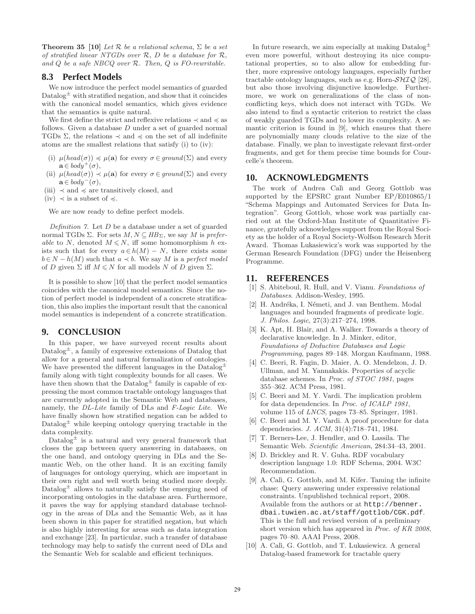**Theorem 35 [10]** Let  $\mathcal{R}$  be a relational schema,  $\Sigma$  be a set of stratified linear NTGDs over  $R$ ,  $D$  be a database for  $R$ , and  $Q$  be a safe NBCQ over  $R$ . Then,  $Q$  is FO-rewritable.

# **8.3 Perfect Models**

We now introduce the perfect model semantics of guarded Datalog $\pm$  with stratified negation, and show that it coincides with the canonical model semantics, which gives evidence that the semantics is quite natural.

We first define the strict and reflexive relations  $\prec$  and  $\preccurlyeq$  as follows. Given a database  $D$  under a set of guarded normal TGDs  $\Sigma$ , the relations  $\prec$  and  $\preccurlyeq$  on the set of all indefinite atoms are the smallest relations that satisfy (i) to (iv):

- (i)  $\mu(head(\sigma)) \preccurlyeq \mu(\mathbf{a})$  for every  $\sigma \in ground(\Sigma)$  and every  $\mathbf{a} \in \text{body}^+(\sigma)$ ,
- (ii)  $\mu(head(\sigma)) \prec \mu(\mathbf{a})$  for every  $\sigma \in ground(\Sigma)$  and every  $\mathbf{a} \in \text{body}^{-}(\sigma),$
- (iii)  $\prec$  and  $\preccurlyeq$  are transitively closed, and
- (iv)  $\prec$  is a subset of  $\preccurlyeq$ .

We are now ready to define perfect models.

Definition  $\gamma$ . Let  $D$  be a database under a set of guarded normal TGDs  $\Sigma$ . For sets  $M, N \subseteq HB_{\Sigma}$ , we say M is preferable to N, denoted  $M \leq N$ , iff some homomorphism h exists such that for every  $a \in h(M) - N$ , there exists some  $b \in N - h(M)$  such that  $a \prec b$ . We say M is a perfect model of D given  $\Sigma$  iff  $M \leq N$  for all models N of D given  $\Sigma$ .

It is possible to show [10] that the perfect model semantics coincides with the canonical model semantics. Since the notion of perfect model is independent of a concrete stratification, this also implies the important result that the canonical model semantics is independent of a concrete stratification.

# **9. CONCLUSION**

In this paper, we have surveyed recent results about Datalog<sup> $\pm$ </sup>, a family of expressive extensions of Datalog that allow for a general and natural formalization of ontologies. We have presented the different languages in the  $\text{Database}^{\pm}$ family along with tight complexity bounds for all cases. We have then shown that the  $\text{Database}^{\pm}$  family is capable of expressing the most common tractable ontology languages that are currently adopted in the Semantic Web and databases, namely, the DL-Lite family of DLs and F-Logic Lite. We have finally shown how stratified negation can be added to Datalog<sup> $\pm$ </sup> while keeping ontology querying tractable in the data complexity.

Datalog $\pm$  is a natural and very general framework that closes the gap between query answering in databases, on the one hand, and ontology querying in DLs and the Semantic Web, on the other hand. It is an exciting family of languages for ontology querying, which are important in their own right and well worth being studied more deeply.  $Datalog<sup>±</sup>$  allows to naturally satisfy the emerging need of incorporating ontologies in the database area. Furthermore, it paves the way for applying standard database technology in the areas of DLs and the Semantic Web, as it has been shown in this paper for stratified negation, but which is also highly interesting for areas such as data integration and exchange [23]. In particular, such a transfer of database technology may help to satisfy the current need of DLs and the Semantic Web for scalable and efficient techniques.

In future research, we aim especially at making  $\text{Database}^{\pm}$ even more powerful, without destroying its nice computational properties, so to also allow for embedding further, more expressive ontology languages, especially further tractable ontology languages, such as e.g. Horn- $\mathcal{SHIQ}$  [28], but also those involving disjunctive knowledge. Furthermore, we work on generalizations of the class of nonconflicting keys, which does not interact with TGDs. We also intend to find a syntactic criterion to restrict the class of weakly guarded TGDs and to lower its complexity. A semantic criterion is found in [9], which ensures that there are polynomially many clouds relative to the size of the database. Finally, we plan to investigate relevant first-order fragments, and get for them precise time bounds for Courcelle's theorem.

# **10. ACKNOWLEDGMENTS**

The work of Andrea Calì and Georg Gottlob was supported by the EPSRC grant Number EP/E010865/1 "Schema Mappings and Automated Services for Data Integration". Georg Gottlob, whose work was partially carried out at the Oxford-Man Institute of Quantitative Finance, gratefully acknowledges support from the Royal Society as the holder of a Royal Society-Wolfson Research Merit Award. Thomas Lukasiewicz's work was supported by the German Research Foundation (DFG) under the Heisenberg Programme.

### **11. REFERENCES**

- [1] S. Abiteboul, R. Hull, and V. Vianu. Foundations of Databases. Addison-Wesley, 1995.
- [2] H. Andréka, I. Németi, and J. van Benthem. Modal languages and bounded fragments of predicate logic. J. Philos. Logic, 27(3):217–274, 1998.
- [3] K. Apt, H. Blair, and A. Walker. Towards a theory of declarative knowledge. In J. Minker, editor, Foundations of Deductive Databases and Logic Programming, pages 89–148. Morgan Kaufmann, 1988.
- [4] C. Beeri, R. Fagin, D. Maier, A. O. Mendelzon, J. D. Ullman, and M. Yannakakis. Properties of acyclic database schemes. In Proc. of STOC 1981, pages 355–362. ACM Press, 1981.
- [5] C. Beeri and M. Y. Vardi. The implication problem for data dependencies. In Proc. of ICALP 1981, volume 115 of LNCS, pages 73–85. Springer, 1981.
- [6] C. Beeri and M. Y. Vardi. A proof procedure for data dependencies. J. ACM, 31(4):718–741, 1984.
- [7] T. Berners-Lee, J. Hendler, and O. Lassila. The Semantic Web. Scientific American, 284:34–43, 2001.
- [8] D. Brickley and R. V. Guha. RDF vocabulary description language 1.0: RDF Schema, 2004. W3C Recommendation.
- [9] A. Calì, G. Gottlob, and M. Kifer. Taming the infinite chase: Query answering under expressive relational constraints. Unpublished technical report, 2008. Available from the authors or at http://benner. dbai.tuwien.ac.at/staff/gottlob/CGK.pdf. This is the full and revised version of a preliminary short version which has appeared in Proc. of KR 2008, pages 70–80. AAAI Press, 2008.
- [10] A. Calì, G. Gottlob, and T. Lukasiewicz. A general Datalog-based framework for tractable query